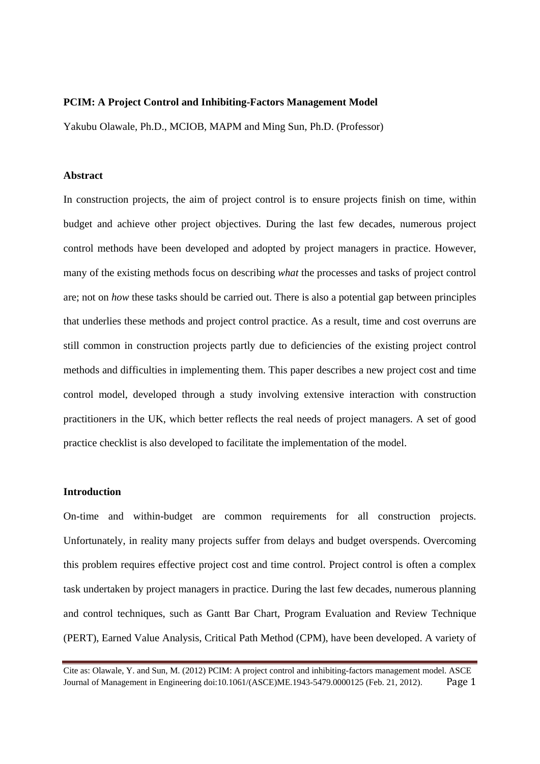#### **PCIM: A Project Control and Inhibiting-Factors Management Model**

Yakubu Olawale, Ph.D., MCIOB, MAPM and Ming Sun, Ph.D. (Professor)

### **Abstract**

In construction projects, the aim of project control is to ensure projects finish on time, within budget and achieve other project objectives. During the last few decades, numerous project control methods have been developed and adopted by project managers in practice. However, many of the existing methods focus on describing *what* the processes and tasks of project control are; not on *how* these tasks should be carried out. There is also a potential gap between principles that underlies these methods and project control practice. As a result, time and cost overruns are still common in construction projects partly due to deficiencies of the existing project control methods and difficulties in implementing them. This paper describes a new project cost and time control model, developed through a study involving extensive interaction with construction practitioners in the UK, which better reflects the real needs of project managers. A set of good practice checklist is also developed to facilitate the implementation of the model.

### **Introduction**

On-time and within-budget are common requirements for all construction projects. Unfortunately, in reality many projects suffer from delays and budget overspends. Overcoming this problem requires effective project cost and time control. Project control is often a complex task undertaken by project managers in practice. During the last few decades, numerous planning and control techniques, such as Gantt Bar Chart, Program Evaluation and Review Technique (PERT), Earned Value Analysis, Critical Path Method (CPM), have been developed. A variety of

Cite as: Olawale, Y. and Sun, M. (2012) PCIM: A project control and inhibiting-factors management model. ASCE Journal of Management in Engineering doi:10.1061/(ASCE)ME.1943-5479.0000125 (Feb. 21, 2012). Page 1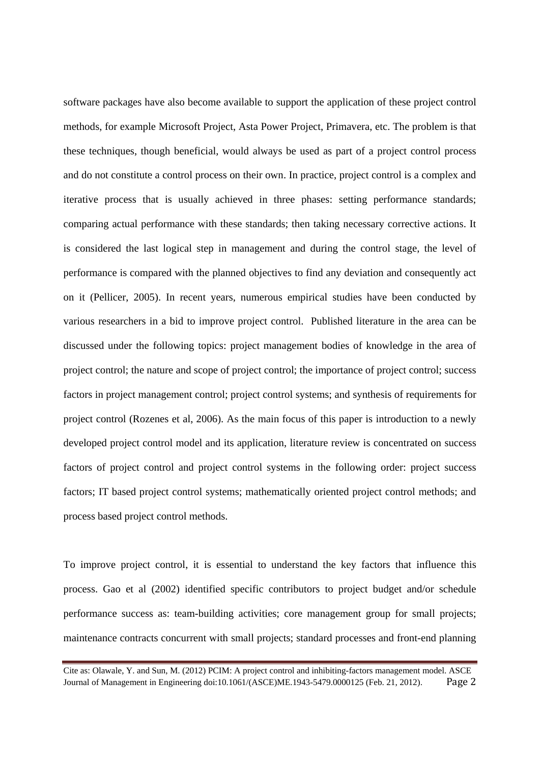software packages have also become available to support the application of these project control methods, for example Microsoft Project, Asta Power Project, Primavera, etc. The problem is that these techniques, though beneficial, would always be used as part of a project control process and do not constitute a control process on their own. In practice, project control is a complex and iterative process that is usually achieved in three phases: setting performance standards; comparing actual performance with these standards; then taking necessary corrective actions. It is considered the last logical step in management and during the control stage, the level of performance is compared with the planned objectives to find any deviation and consequently act on it (Pellicer, 2005). In recent years, numerous empirical studies have been conducted by various researchers in a bid to improve project control. Published literature in the area can be discussed under the following topics: project management bodies of knowledge in the area of project control; the nature and scope of project control; the importance of project control; success factors in project management control; project control systems; and synthesis of requirements for project control (Rozenes et al, 2006). As the main focus of this paper is introduction to a newly developed project control model and its application, literature review is concentrated on success factors of project control and project control systems in the following order: project success factors; IT based project control systems; mathematically oriented project control methods; and process based project control methods.

To improve project control, it is essential to understand the key factors that influence this process. Gao et al (2002) identified specific contributors to project budget and/or schedule performance success as: team-building activities; core management group for small projects; maintenance contracts concurrent with small projects; standard processes and front-end planning

Cite as: Olawale, Y. and Sun, M. (2012) PCIM: A project control and inhibiting-factors management model. ASCE Journal of Management in Engineering doi:10.1061/(ASCE)ME.1943-5479.0000125 (Feb. 21, 2012). Page 2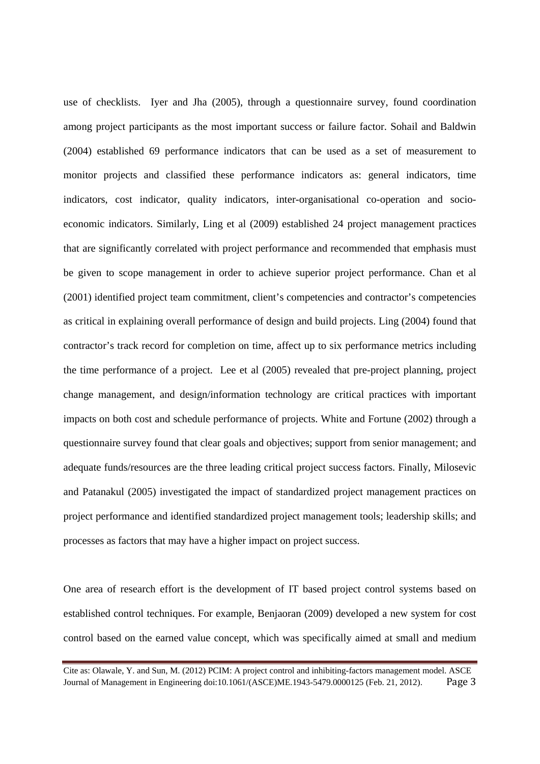use of checklists. Iyer and Jha (2005), through a questionnaire survey, found coordination among project participants as the most important success or failure factor. Sohail and Baldwin (2004) established 69 performance indicators that can be used as a set of measurement to monitor projects and classified these performance indicators as: general indicators, time indicators, cost indicator, quality indicators, inter-organisational co-operation and socioeconomic indicators. Similarly, Ling et al (2009) established 24 project management practices that are significantly correlated with project performance and recommended that emphasis must be given to scope management in order to achieve superior project performance. Chan et al (2001) identified project team commitment, client's competencies and contractor's competencies as critical in explaining overall performance of design and build projects. Ling (2004) found that contractor's track record for completion on time, affect up to six performance metrics including the time performance of a project. Lee et al (2005) revealed that pre-project planning, project change management, and design/information technology are critical practices with important impacts on both cost and schedule performance of projects. White and Fortune (2002) through a questionnaire survey found that clear goals and objectives; support from senior management; and adequate funds/resources are the three leading critical project success factors. Finally, Milosevic and Patanakul (2005) investigated the impact of standardized project management practices on project performance and identified standardized project management tools; leadership skills; and processes as factors that may have a higher impact on project success.

One area of research effort is the development of IT based project control systems based on established control techniques. For example, Benjaoran (2009) developed a new system for cost control based on the earned value concept, which was specifically aimed at small and medium

Cite as: Olawale, Y. and Sun, M. (2012) PCIM: A project control and inhibiting-factors management model. ASCE Journal of Management in Engineering doi:10.1061/(ASCE)ME.1943-5479.0000125 (Feb. 21, 2012). Page 3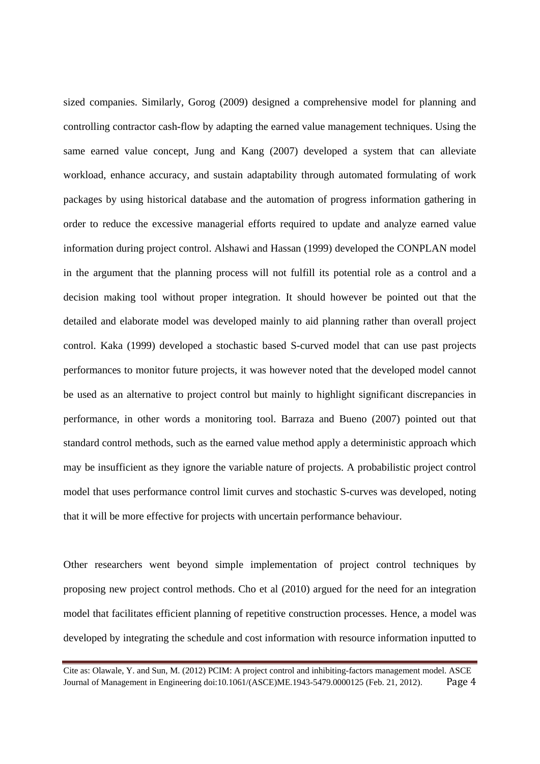sized companies. Similarly, Gorog (2009) designed a comprehensive model for planning and controlling contractor cash-flow by adapting the earned value management techniques. Using the same earned value concept, Jung and Kang (2007) developed a system that can alleviate workload, enhance accuracy, and sustain adaptability through automated formulating of work packages by using historical database and the automation of progress information gathering in order to reduce the excessive managerial efforts required to update and analyze earned value information during project control. Alshawi and Hassan (1999) developed the CONPLAN model in the argument that the planning process will not fulfill its potential role as a control and a decision making tool without proper integration. It should however be pointed out that the detailed and elaborate model was developed mainly to aid planning rather than overall project control. Kaka (1999) developed a stochastic based S-curved model that can use past projects performances to monitor future projects, it was however noted that the developed model cannot be used as an alternative to project control but mainly to highlight significant discrepancies in performance, in other words a monitoring tool. Barraza and Bueno (2007) pointed out that standard control methods, such as the earned value method apply a deterministic approach which may be insufficient as they ignore the variable nature of projects. A probabilistic project control model that uses performance control limit curves and stochastic S-curves was developed, noting that it will be more effective for projects with uncertain performance behaviour.

Other researchers went beyond simple implementation of project control techniques by proposing new project control methods. Cho et al (2010) argued for the need for an integration model that facilitates efficient planning of repetitive construction processes. Hence, a model was developed by integrating the schedule and cost information with resource information inputted to

Cite as: Olawale, Y. and Sun, M. (2012) PCIM: A project control and inhibiting-factors management model. ASCE Journal of Management in Engineering doi:10.1061/(ASCE)ME.1943-5479.0000125 (Feb. 21, 2012). Page 4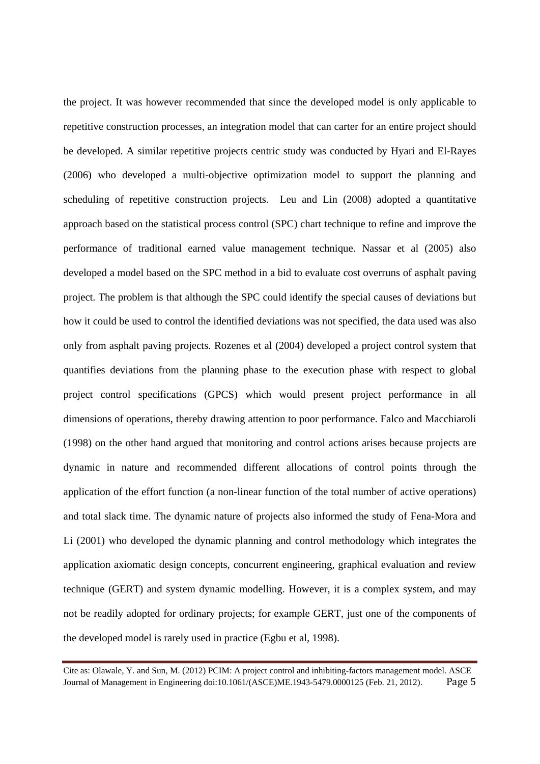the project. It was however recommended that since the developed model is only applicable to repetitive construction processes, an integration model that can carter for an entire project should be developed. A similar repetitive projects centric study was conducted by Hyari and El-Rayes (2006) who developed a multi-objective optimization model to support the planning and scheduling of repetitive construction projects. Leu and Lin (2008) adopted a quantitative approach based on the statistical process control (SPC) chart technique to refine and improve the performance of traditional earned value management technique. Nassar et al (2005) also developed a model based on the SPC method in a bid to evaluate cost overruns of asphalt paving project. The problem is that although the SPC could identify the special causes of deviations but how it could be used to control the identified deviations was not specified, the data used was also only from asphalt paving projects. Rozenes et al (2004) developed a project control system that quantifies deviations from the planning phase to the execution phase with respect to global project control specifications (GPCS) which would present project performance in all dimensions of operations, thereby drawing attention to poor performance. Falco and Macchiaroli (1998) on the other hand argued that monitoring and control actions arises because projects are dynamic in nature and recommended different allocations of control points through the application of the effort function (a non-linear function of the total number of active operations) and total slack time. The dynamic nature of projects also informed the study of Fena-Mora and Li (2001) who developed the dynamic planning and control methodology which integrates the application axiomatic design concepts, concurrent engineering, graphical evaluation and review technique (GERT) and system dynamic modelling. However, it is a complex system, and may not be readily adopted for ordinary projects; for example GERT, just one of the components of the developed model is rarely used in practice (Egbu et al, 1998).

Cite as: Olawale, Y. and Sun, M. (2012) PCIM: A project control and inhibiting-factors management model. ASCE Journal of Management in Engineering doi:10.1061/(ASCE)ME.1943-5479.0000125 (Feb. 21, 2012). Page 5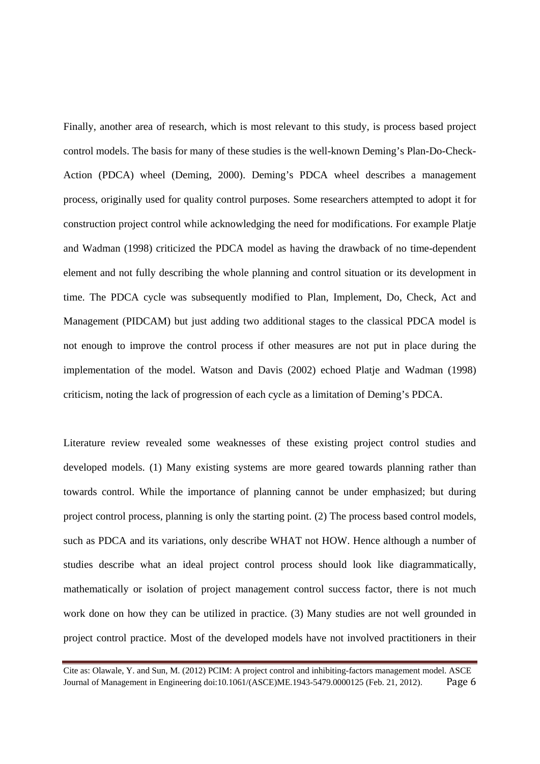Finally, another area of research, which is most relevant to this study, is process based project control models. The basis for many of these studies is the well-known Deming's Plan-Do-Check-Action (PDCA) wheel (Deming, 2000). Deming's PDCA wheel describes a management process, originally used for quality control purposes. Some researchers attempted to adopt it for construction project control while acknowledging the need for modifications. For example Platje and Wadman (1998) criticized the PDCA model as having the drawback of no time-dependent element and not fully describing the whole planning and control situation or its development in time. The PDCA cycle was subsequently modified to Plan, Implement, Do, Check, Act and Management (PIDCAM) but just adding two additional stages to the classical PDCA model is not enough to improve the control process if other measures are not put in place during the implementation of the model. Watson and Davis (2002) echoed Platje and Wadman (1998) criticism, noting the lack of progression of each cycle as a limitation of Deming's PDCA.

Literature review revealed some weaknesses of these existing project control studies and developed models. (1) Many existing systems are more geared towards planning rather than towards control. While the importance of planning cannot be under emphasized; but during project control process, planning is only the starting point. (2) The process based control models, such as PDCA and its variations, only describe WHAT not HOW. Hence although a number of studies describe what an ideal project control process should look like diagrammatically, mathematically or isolation of project management control success factor, there is not much work done on how they can be utilized in practice. (3) Many studies are not well grounded in project control practice. Most of the developed models have not involved practitioners in their

Cite as: Olawale, Y. and Sun, M. (2012) PCIM: A project control and inhibiting-factors management model. ASCE Journal of Management in Engineering doi:10.1061/(ASCE)ME.1943-5479.0000125 (Feb. 21, 2012). Page 6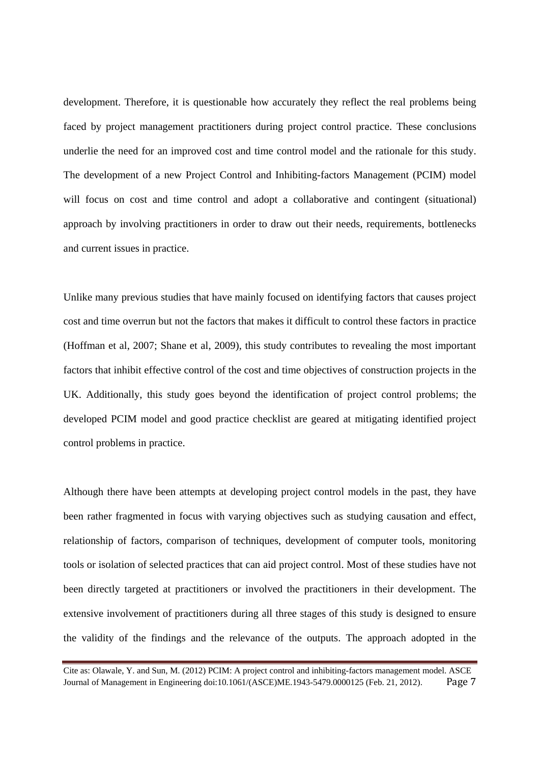development. Therefore, it is questionable how accurately they reflect the real problems being faced by project management practitioners during project control practice. These conclusions underlie the need for an improved cost and time control model and the rationale for this study. The development of a new Project Control and Inhibiting-factors Management (PCIM) model will focus on cost and time control and adopt a collaborative and contingent (situational) approach by involving practitioners in order to draw out their needs, requirements, bottlenecks and current issues in practice.

Unlike many previous studies that have mainly focused on identifying factors that causes project cost and time overrun but not the factors that makes it difficult to control these factors in practice (Hoffman et al, 2007; Shane et al, 2009), this study contributes to revealing the most important factors that inhibit effective control of the cost and time objectives of construction projects in the UK. Additionally, this study goes beyond the identification of project control problems; the developed PCIM model and good practice checklist are geared at mitigating identified project control problems in practice.

Although there have been attempts at developing project control models in the past, they have been rather fragmented in focus with varying objectives such as studying causation and effect, relationship of factors, comparison of techniques, development of computer tools, monitoring tools or isolation of selected practices that can aid project control. Most of these studies have not been directly targeted at practitioners or involved the practitioners in their development. The extensive involvement of practitioners during all three stages of this study is designed to ensure the validity of the findings and the relevance of the outputs. The approach adopted in the

Cite as: Olawale, Y. and Sun, M. (2012) PCIM: A project control and inhibiting-factors management model. ASCE Journal of Management in Engineering doi:10.1061/(ASCE)ME.1943-5479.0000125 (Feb. 21, 2012). Page 7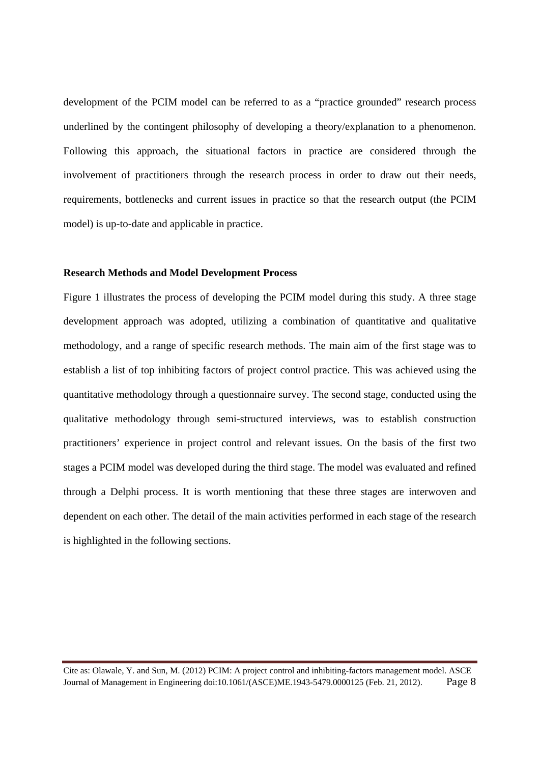development of the PCIM model can be referred to as a "practice grounded" research process underlined by the contingent philosophy of developing a theory/explanation to a phenomenon. Following this approach, the situational factors in practice are considered through the involvement of practitioners through the research process in order to draw out their needs, requirements, bottlenecks and current issues in practice so that the research output (the PCIM model) is up-to-date and applicable in practice.

## **Research Methods and Model Development Process**

Figure 1 illustrates the process of developing the PCIM model during this study. A three stage development approach was adopted, utilizing a combination of quantitative and qualitative methodology, and a range of specific research methods. The main aim of the first stage was to establish a list of top inhibiting factors of project control practice. This was achieved using the quantitative methodology through a questionnaire survey. The second stage, conducted using the qualitative methodology through semi-structured interviews, was to establish construction practitioners' experience in project control and relevant issues. On the basis of the first two stages a PCIM model was developed during the third stage. The model was evaluated and refined through a Delphi process. It is worth mentioning that these three stages are interwoven and dependent on each other. The detail of the main activities performed in each stage of the research is highlighted in the following sections.

Cite as: Olawale, Y. and Sun, M. (2012) PCIM: A project control and inhibiting-factors management model. ASCE Journal of Management in Engineering doi:10.1061/(ASCE)ME.1943-5479.0000125 (Feb. 21, 2012). Page 8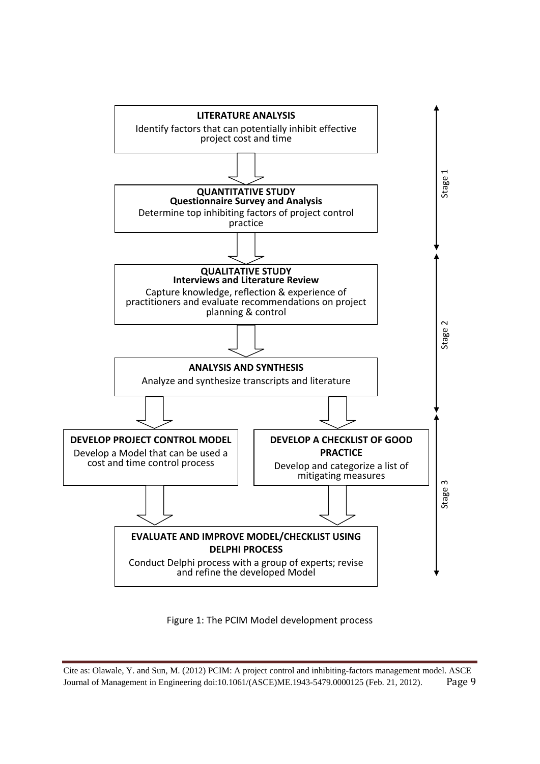

Figure 1: The PCIM Model development process

Cite as: Olawale, Y. and Sun, M. (2012) PCIM: A project control and inhibiting-factors management model. ASCE Journal of Management in Engineering doi:10.1061/(ASCE)ME.1943-5479.0000125 (Feb. 21, 2012). Page 9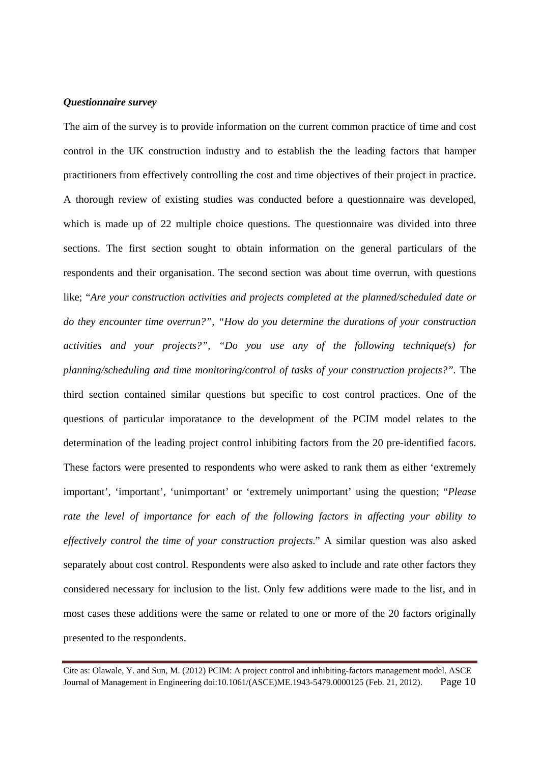### *Questionnaire survey*

The aim of the survey is to provide information on the current common practice of time and cost control in the UK construction industry and to establish the the leading factors that hamper practitioners from effectively controlling the cost and time objectives of their project in practice. A thorough review of existing studies was conducted before a questionnaire was developed, which is made up of 22 multiple choice questions. The questionnaire was divided into three sections. The first section sought to obtain information on the general particulars of the respondents and their organisation. The second section was about time overrun, with questions like; "*Are your construction activities and projects completed at the planned/scheduled date or do they encounter time overrun?", "How do you determine the durations of your construction activities and your projects?", "Do you use any of the following technique(s) for planning/scheduling and time monitoring/control of tasks of your construction projects?".* The third section contained similar questions but specific to cost control practices. One of the questions of particular imporatance to the development of the PCIM model relates to the determination of the leading project control inhibiting factors from the 20 pre-identified facors. These factors were presented to respondents who were asked to rank them as either 'extremely important', 'important', 'unimportant' or 'extremely unimportant' using the question; "*Please rate the level of importance for each of the following factors in affecting your ability to effectively control the time of your construction projects*." A similar question was also asked separately about cost control. Respondents were also asked to include and rate other factors they considered necessary for inclusion to the list. Only few additions were made to the list, and in most cases these additions were the same or related to one or more of the 20 factors originally presented to the respondents.

Cite as: Olawale, Y. and Sun, M. (2012) PCIM: A project control and inhibiting-factors management model. ASCE Journal of Management in Engineering doi:10.1061/(ASCE)ME.1943-5479.0000125 (Feb. 21, 2012). Page 10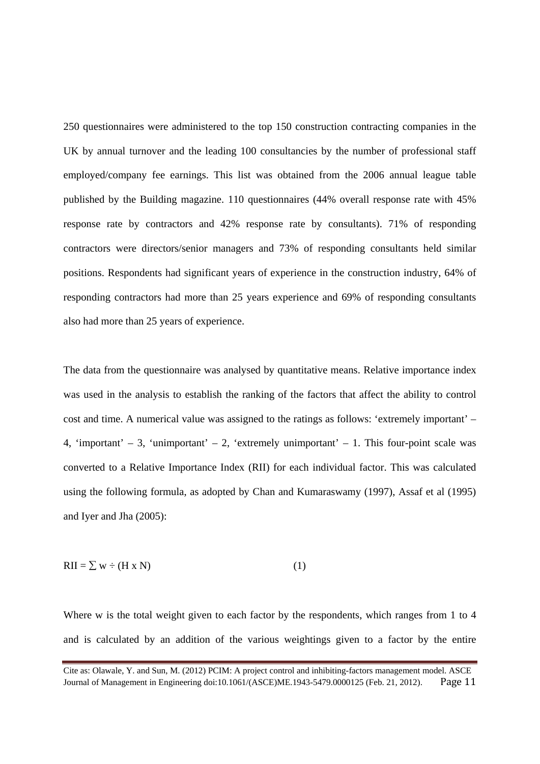250 questionnaires were administered to the top 150 construction contracting companies in the UK by annual turnover and the leading 100 consultancies by the number of professional staff employed/company fee earnings. This list was obtained from the 2006 annual league table published by the Building magazine. 110 questionnaires (44% overall response rate with 45% response rate by contractors and 42% response rate by consultants). 71% of responding contractors were directors/senior managers and 73% of responding consultants held similar positions. Respondents had significant years of experience in the construction industry, 64% of responding contractors had more than 25 years experience and 69% of responding consultants also had more than 25 years of experience.

The data from the questionnaire was analysed by quantitative means. Relative importance index was used in the analysis to establish the ranking of the factors that affect the ability to control cost and time. A numerical value was assigned to the ratings as follows: 'extremely important' – 4, 'important' – 3, 'unimportant' – 2, 'extremely unimportant' – 1. This four-point scale was converted to a Relative Importance Index (RII) for each individual factor. This was calculated using the following formula, as adopted by Chan and Kumaraswamy (1997), Assaf et al (1995) and Iyer and Jha (2005):

$$
RII = \sum w \div (H \times N)
$$
 (1)

Where w is the total weight given to each factor by the respondents, which ranges from 1 to 4 and is calculated by an addition of the various weightings given to a factor by the entire

Cite as: Olawale, Y. and Sun, M. (2012) PCIM: A project control and inhibiting-factors management model. ASCE Journal of Management in Engineering doi:10.1061/(ASCE)ME.1943-5479.0000125 (Feb. 21, 2012). Page 11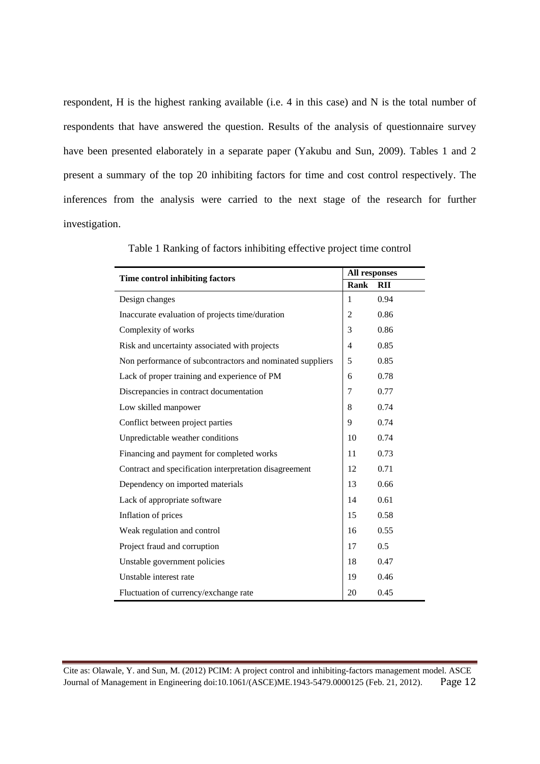respondent, H is the highest ranking available (i.e. 4 in this case) and N is the total number of respondents that have answered the question. Results of the analysis of questionnaire survey have been presented elaborately in a separate paper (Yakubu and Sun, 2009). Tables 1 and 2 present a summary of the top 20 inhibiting factors for time and cost control respectively. The inferences from the analysis were carried to the next stage of the research for further investigation.

|                                                           |                | All responses |  |  |
|-----------------------------------------------------------|----------------|---------------|--|--|
| Time control inhibiting factors                           | Rank           | RII           |  |  |
| Design changes                                            | 1              | 0.94          |  |  |
| Inaccurate evaluation of projects time/duration           | $\overline{2}$ | 0.86          |  |  |
| Complexity of works                                       | 3              | 0.86          |  |  |
| Risk and uncertainty associated with projects             | $\overline{4}$ | 0.85          |  |  |
| Non performance of subcontractors and nominated suppliers | 5              | 0.85          |  |  |
| Lack of proper training and experience of PM              | 6              | 0.78          |  |  |
| Discrepancies in contract documentation                   | 7              | 0.77          |  |  |
| Low skilled manpower                                      | 8              | 0.74          |  |  |
| Conflict between project parties                          | 9              | 0.74          |  |  |
| Unpredictable weather conditions                          | 10             | 0.74          |  |  |
| Financing and payment for completed works                 | 11             | 0.73          |  |  |
| Contract and specification interpretation disagreement    | 12             | 0.71          |  |  |
| Dependency on imported materials                          | 13             | 0.66          |  |  |
| Lack of appropriate software                              | 14             | 0.61          |  |  |
| Inflation of prices                                       | 15             | 0.58          |  |  |
| Weak regulation and control                               | 16             | 0.55          |  |  |
| Project fraud and corruption                              | 17             | 0.5           |  |  |
| Unstable government policies                              | 18             | 0.47          |  |  |
| Unstable interest rate                                    | 19             | 0.46          |  |  |
| Fluctuation of currency/exchange rate                     | 20             | 0.45          |  |  |

Table 1 Ranking of factors inhibiting effective project time control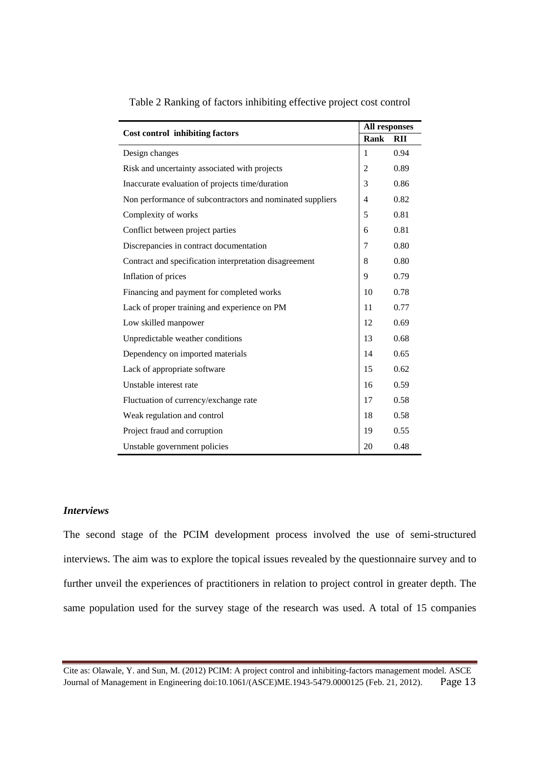|                                                           |                | All responses |  |  |
|-----------------------------------------------------------|----------------|---------------|--|--|
| <b>Cost control inhibiting factors</b>                    | Rank           | RII           |  |  |
| Design changes                                            | 1              | 0.94          |  |  |
| Risk and uncertainty associated with projects             | $\overline{c}$ | 0.89          |  |  |
| Inaccurate evaluation of projects time/duration           | 3              | 0.86          |  |  |
| Non performance of subcontractors and nominated suppliers | 4              | 0.82          |  |  |
| Complexity of works                                       | 5              | 0.81          |  |  |
| Conflict between project parties                          | 6              | 0.81          |  |  |
| Discrepancies in contract documentation                   | $\tau$         | 0.80          |  |  |
| Contract and specification interpretation disagreement    | 8              | 0.80          |  |  |
| Inflation of prices                                       | 9              | 0.79          |  |  |
| Financing and payment for completed works                 | 10             | 0.78          |  |  |
| Lack of proper training and experience on PM              | 11             | 0.77          |  |  |
| Low skilled manpower                                      | 12             | 0.69          |  |  |
| Unpredictable weather conditions                          | 13             | 0.68          |  |  |
| Dependency on imported materials                          | 14             | 0.65          |  |  |
| Lack of appropriate software                              | 15             | 0.62          |  |  |
| Unstable interest rate                                    | 16             | 0.59          |  |  |
| Fluctuation of currency/exchange rate                     | 17             | 0.58          |  |  |
| Weak regulation and control                               | 18             | 0.58          |  |  |
| Project fraud and corruption                              | 19             | 0.55          |  |  |
| Unstable government policies                              | 20             | 0.48          |  |  |

Table 2 Ranking of factors inhibiting effective project cost control

# *Interviews*

The second stage of the PCIM development process involved the use of semi-structured interviews. The aim was to explore the topical issues revealed by the questionnaire survey and to further unveil the experiences of practitioners in relation to project control in greater depth. The same population used for the survey stage of the research was used. A total of 15 companies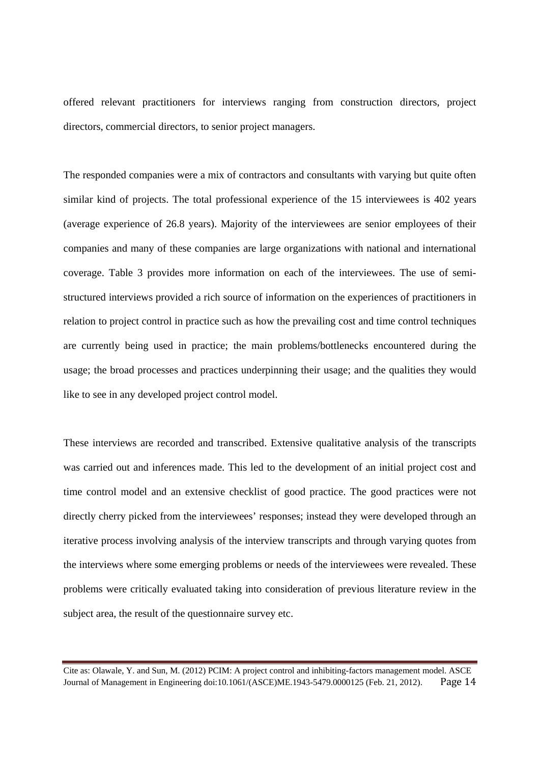offered relevant practitioners for interviews ranging from construction directors, project directors, commercial directors, to senior project managers.

The responded companies were a mix of contractors and consultants with varying but quite often similar kind of projects. The total professional experience of the 15 interviewees is 402 years (average experience of 26.8 years). Majority of the interviewees are senior employees of their companies and many of these companies are large organizations with national and international coverage. Table 3 provides more information on each of the interviewees. The use of semistructured interviews provided a rich source of information on the experiences of practitioners in relation to project control in practice such as how the prevailing cost and time control techniques are currently being used in practice; the main problems/bottlenecks encountered during the usage; the broad processes and practices underpinning their usage; and the qualities they would like to see in any developed project control model.

These interviews are recorded and transcribed. Extensive qualitative analysis of the transcripts was carried out and inferences made. This led to the development of an initial project cost and time control model and an extensive checklist of good practice. The good practices were not directly cherry picked from the interviewees' responses; instead they were developed through an iterative process involving analysis of the interview transcripts and through varying quotes from the interviews where some emerging problems or needs of the interviewees were revealed. These problems were critically evaluated taking into consideration of previous literature review in the subject area, the result of the questionnaire survey etc.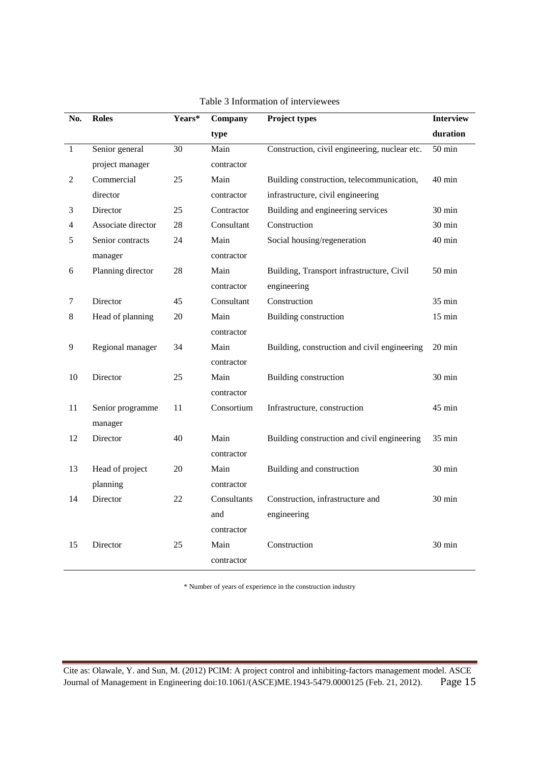| No.              | <b>Roles</b>       | Years* | Company<br><b>Project types</b> |                                               | Interview        |
|------------------|--------------------|--------|---------------------------------|-----------------------------------------------|------------------|
|                  |                    |        | type                            |                                               | duration         |
| $\mathbf{1}$     | Senior general     | 30     | Main                            | Construction, civil engineering, nuclear etc. | $50$ min         |
|                  | project manager    |        | contractor                      |                                               |                  |
| $\sqrt{2}$       | Commercial         | 25     | Main                            | Building construction, telecommunication,     | $40 \text{ min}$ |
|                  | director           |        | contractor                      | infrastructure, civil engineering             |                  |
| 3                | Director           | 25     | Contractor                      | Building and engineering services             | 30 min           |
| 4                | Associate director | 28     | Consultant                      | Construction                                  | 30 min           |
| 5                | Senior contracts   | 24     | Main                            | Social housing/regeneration                   | 40 min           |
|                  | manager            |        | contractor                      |                                               |                  |
| 6                | Planning director  | 28     | Main                            | Building, Transport infrastructure, Civil     | 50 min           |
|                  |                    |        | contractor                      | engineering                                   |                  |
| $\boldsymbol{7}$ | Director           | 45     | Consultant                      | Construction                                  | $35 \text{ min}$ |
| $8\,$            | Head of planning   | 20     | Main                            | Building construction                         | $15 \text{ min}$ |
|                  |                    |        | contractor                      |                                               |                  |
| $\overline{9}$   | Regional manager   | 34     | Main                            | Building, construction and civil engineering  | 20 min           |
|                  |                    |        | contractor                      |                                               |                  |
| 10               | Director           | 25     | Main                            | Building construction                         | $30 \text{ min}$ |
|                  |                    |        | contractor                      |                                               |                  |
| 11               | Senior programme   | 11     | Consortium                      | Infrastructure, construction                  | $45$ min         |
|                  | manager            |        |                                 |                                               |                  |
| 12               | Director           | 40     | Main                            | Building construction and civil engineering   | $35 \text{ min}$ |
|                  |                    |        | contractor                      |                                               |                  |
| 13               | Head of project    | 20     | Main                            | Building and construction                     | $30 \text{ min}$ |
|                  | planning           |        | contractor                      |                                               |                  |
| 14               | Director           | 22     | Consultants                     | Construction, infrastructure and              | $30 \text{ min}$ |
|                  |                    |        | and                             | engineering                                   |                  |
|                  |                    |        | contractor                      |                                               |                  |
| 15               | Director           | 25     | Main                            | Construction                                  | $30 \text{ min}$ |
|                  |                    |        | contractor                      |                                               |                  |

Table 3 Information of interviewees

\* Number of years of experience in the construction industry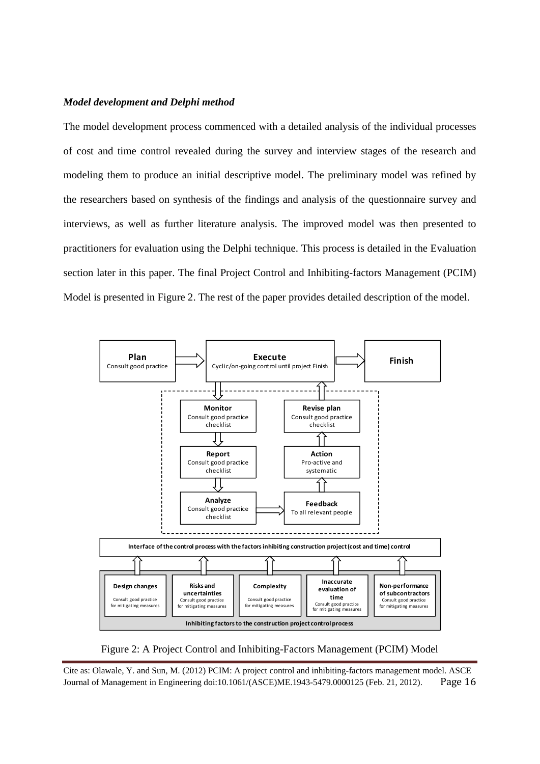## *Model development and Delphi method*

The model development process commenced with a detailed analysis of the individual processes of cost and time control revealed during the survey and interview stages of the research and modeling them to produce an initial descriptive model. The preliminary model was refined by the researchers based on synthesis of the findings and analysis of the questionnaire survey and interviews, as well as further literature analysis. The improved model was then presented to practitioners for evaluation using the Delphi technique. This process is detailed in the Evaluation section later in this paper. The final Project Control and Inhibiting-factors Management (PCIM) Model is presented in Figure 2. The rest of the paper provides detailed description of the model.



Figure 2: A Project Control and Inhibiting-Factors Management (PCIM) Model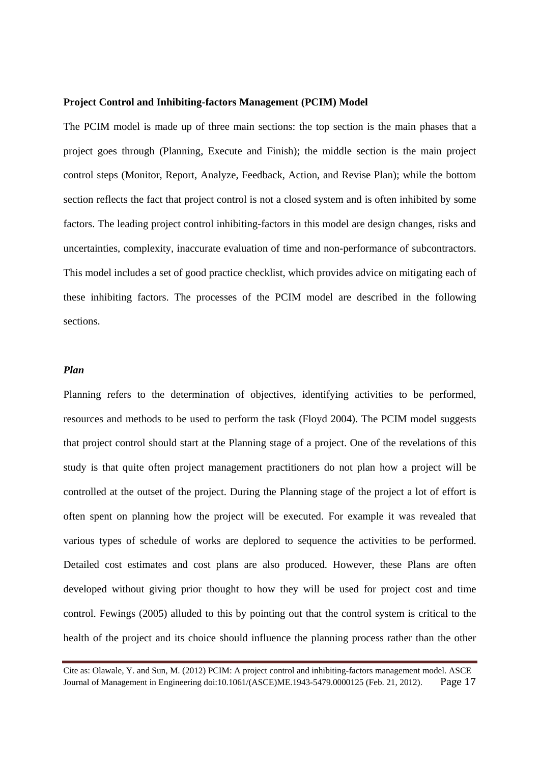#### **Project Control and Inhibiting-factors Management (PCIM) Model**

The PCIM model is made up of three main sections: the top section is the main phases that a project goes through (Planning, Execute and Finish); the middle section is the main project control steps (Monitor, Report, Analyze, Feedback, Action, and Revise Plan); while the bottom section reflects the fact that project control is not a closed system and is often inhibited by some factors. The leading project control inhibiting-factors in this model are design changes, risks and uncertainties, complexity, inaccurate evaluation of time and non-performance of subcontractors. This model includes a set of good practice checklist, which provides advice on mitigating each of these inhibiting factors. The processes of the PCIM model are described in the following sections.

## *Plan*

Planning refers to the determination of objectives, identifying activities to be performed, resources and methods to be used to perform the task (Floyd 2004). The PCIM model suggests that project control should start at the Planning stage of a project. One of the revelations of this study is that quite often project management practitioners do not plan how a project will be controlled at the outset of the project. During the Planning stage of the project a lot of effort is often spent on planning how the project will be executed. For example it was revealed that various types of schedule of works are deplored to sequence the activities to be performed. Detailed cost estimates and cost plans are also produced. However, these Plans are often developed without giving prior thought to how they will be used for project cost and time control. Fewings (2005) alluded to this by pointing out that the control system is critical to the health of the project and its choice should influence the planning process rather than the other

Cite as: Olawale, Y. and Sun, M. (2012) PCIM: A project control and inhibiting-factors management model. ASCE Journal of Management in Engineering doi:10.1061/(ASCE)ME.1943-5479.0000125 (Feb. 21, 2012). Page 17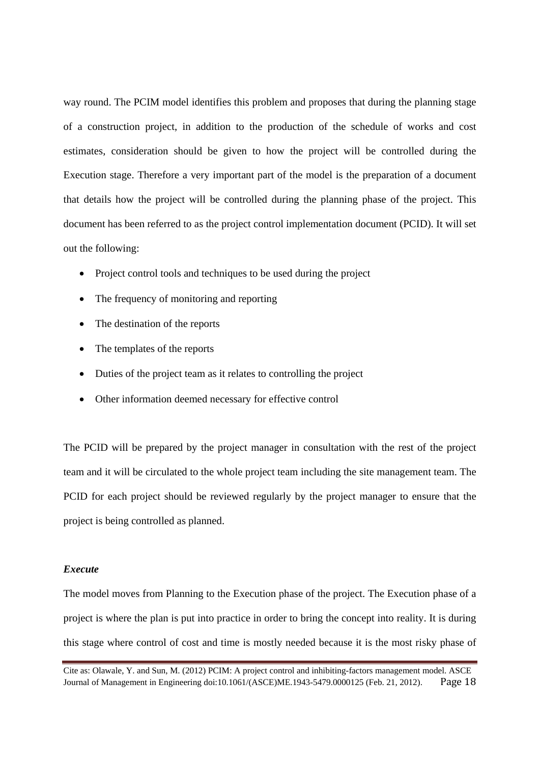way round. The PCIM model identifies this problem and proposes that during the planning stage of a construction project, in addition to the production of the schedule of works and cost estimates, consideration should be given to how the project will be controlled during the Execution stage. Therefore a very important part of the model is the preparation of a document that details how the project will be controlled during the planning phase of the project. This document has been referred to as the project control implementation document (PCID). It will set out the following:

- Project control tools and techniques to be used during the project
- The frequency of monitoring and reporting
- The destination of the reports
- The templates of the reports
- Duties of the project team as it relates to controlling the project
- Other information deemed necessary for effective control

The PCID will be prepared by the project manager in consultation with the rest of the project team and it will be circulated to the whole project team including the site management team. The PCID for each project should be reviewed regularly by the project manager to ensure that the project is being controlled as planned.

## *Execute*

The model moves from Planning to the Execution phase of the project. The Execution phase of a project is where the plan is put into practice in order to bring the concept into reality. It is during this stage where control of cost and time is mostly needed because it is the most risky phase of

Cite as: Olawale, Y. and Sun, M. (2012) PCIM: A project control and inhibiting-factors management model. ASCE Journal of Management in Engineering doi:10.1061/(ASCE)ME.1943-5479.0000125 (Feb. 21, 2012). Page 18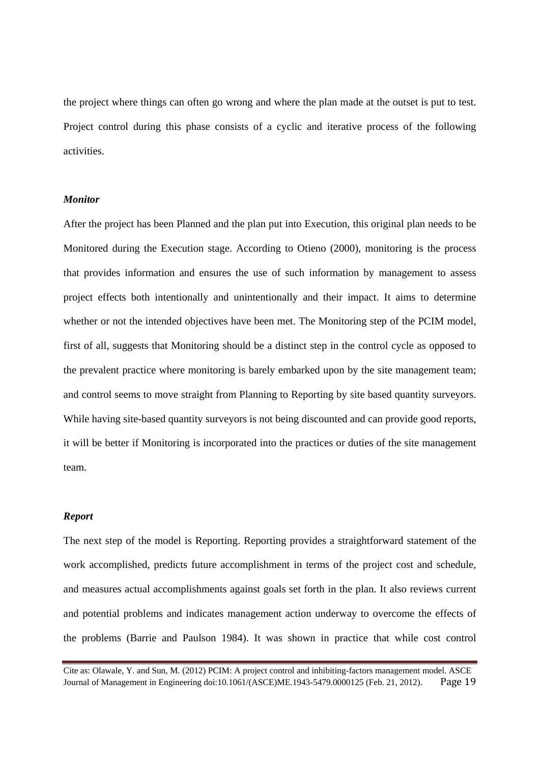the project where things can often go wrong and where the plan made at the outset is put to test. Project control during this phase consists of a cyclic and iterative process of the following activities.

### *Monitor*

After the project has been Planned and the plan put into Execution, this original plan needs to be Monitored during the Execution stage. According to Otieno (2000), monitoring is the process that provides information and ensures the use of such information by management to assess project effects both intentionally and unintentionally and their impact. It aims to determine whether or not the intended objectives have been met. The Monitoring step of the PCIM model, first of all, suggests that Monitoring should be a distinct step in the control cycle as opposed to the prevalent practice where monitoring is barely embarked upon by the site management team; and control seems to move straight from Planning to Reporting by site based quantity surveyors. While having site-based quantity surveyors is not being discounted and can provide good reports, it will be better if Monitoring is incorporated into the practices or duties of the site management team.

## *Report*

The next step of the model is Reporting. Reporting provides a straightforward statement of the work accomplished, predicts future accomplishment in terms of the project cost and schedule, and measures actual accomplishments against goals set forth in the plan. It also reviews current and potential problems and indicates management action underway to overcome the effects of the problems (Barrie and Paulson 1984). It was shown in practice that while cost control

Cite as: Olawale, Y. and Sun, M. (2012) PCIM: A project control and inhibiting-factors management model. ASCE Journal of Management in Engineering doi:10.1061/(ASCE)ME.1943-5479.0000125 (Feb. 21, 2012). Page 19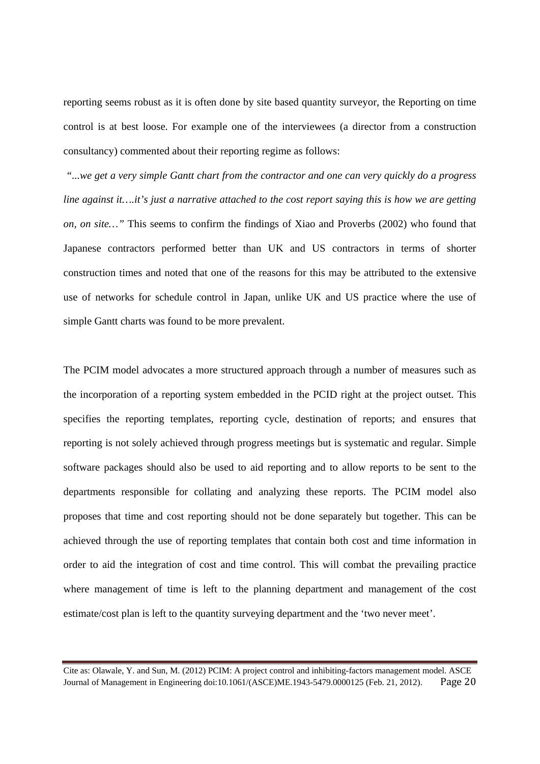reporting seems robust as it is often done by site based quantity surveyor, the Reporting on time control is at best loose. For example one of the interviewees (a director from a construction consultancy) commented about their reporting regime as follows:

 *"...we get a very simple Gantt chart from the contractor and one can very quickly do a progress line against it….it's just a narrative attached to the cost report saying this is how we are getting on, on site…"* This seems to confirm the findings of Xiao and Proverbs (2002) who found that Japanese contractors performed better than UK and US contractors in terms of shorter construction times and noted that one of the reasons for this may be attributed to the extensive use of networks for schedule control in Japan, unlike UK and US practice where the use of simple Gantt charts was found to be more prevalent.

The PCIM model advocates a more structured approach through a number of measures such as the incorporation of a reporting system embedded in the PCID right at the project outset. This specifies the reporting templates, reporting cycle, destination of reports; and ensures that reporting is not solely achieved through progress meetings but is systematic and regular. Simple software packages should also be used to aid reporting and to allow reports to be sent to the departments responsible for collating and analyzing these reports. The PCIM model also proposes that time and cost reporting should not be done separately but together. This can be achieved through the use of reporting templates that contain both cost and time information in order to aid the integration of cost and time control. This will combat the prevailing practice where management of time is left to the planning department and management of the cost estimate/cost plan is left to the quantity surveying department and the 'two never meet'.

Cite as: Olawale, Y. and Sun, M. (2012) PCIM: A project control and inhibiting-factors management model. ASCE Journal of Management in Engineering doi:10.1061/(ASCE)ME.1943-5479.0000125 (Feb. 21, 2012). Page 20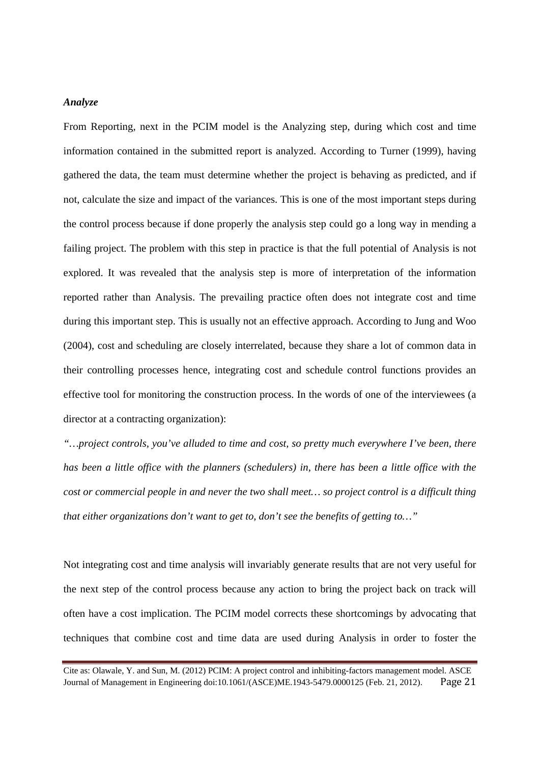#### *Analyze*

From Reporting, next in the PCIM model is the Analyzing step, during which cost and time information contained in the submitted report is analyzed. According to Turner (1999), having gathered the data, the team must determine whether the project is behaving as predicted, and if not, calculate the size and impact of the variances. This is one of the most important steps during the control process because if done properly the analysis step could go a long way in mending a failing project. The problem with this step in practice is that the full potential of Analysis is not explored. It was revealed that the analysis step is more of interpretation of the information reported rather than Analysis. The prevailing practice often does not integrate cost and time during this important step. This is usually not an effective approach. According to Jung and Woo (2004), cost and scheduling are closely interrelated, because they share a lot of common data in their controlling processes hence, integrating cost and schedule control functions provides an effective tool for monitoring the construction process. In the words of one of the interviewees (a director at a contracting organization):

*"…project controls, you've alluded to time and cost, so pretty much everywhere I've been, there has been a little office with the planners (schedulers) in, there has been a little office with the cost or commercial people in and never the two shall meet… so project control is a difficult thing that either organizations don't want to get to, don't see the benefits of getting to…"* 

Not integrating cost and time analysis will invariably generate results that are not very useful for the next step of the control process because any action to bring the project back on track will often have a cost implication. The PCIM model corrects these shortcomings by advocating that techniques that combine cost and time data are used during Analysis in order to foster the

Cite as: Olawale, Y. and Sun, M. (2012) PCIM: A project control and inhibiting-factors management model. ASCE Journal of Management in Engineering doi:10.1061/(ASCE)ME.1943-5479.0000125 (Feb. 21, 2012). Page 21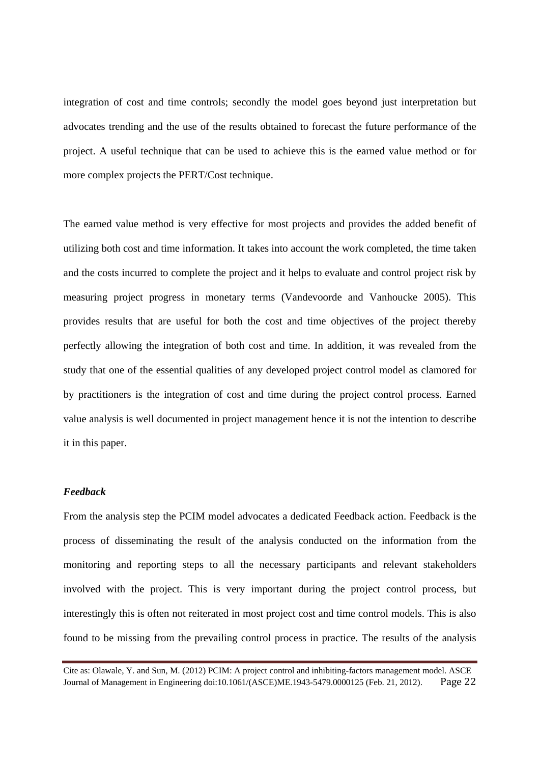integration of cost and time controls; secondly the model goes beyond just interpretation but advocates trending and the use of the results obtained to forecast the future performance of the project. A useful technique that can be used to achieve this is the earned value method or for more complex projects the PERT/Cost technique.

The earned value method is very effective for most projects and provides the added benefit of utilizing both cost and time information. It takes into account the work completed, the time taken and the costs incurred to complete the project and it helps to evaluate and control project risk by measuring project progress in monetary terms (Vandevoorde and Vanhoucke 2005). This provides results that are useful for both the cost and time objectives of the project thereby perfectly allowing the integration of both cost and time. In addition, it was revealed from the study that one of the essential qualities of any developed project control model as clamored for by practitioners is the integration of cost and time during the project control process. Earned value analysis is well documented in project management hence it is not the intention to describe it in this paper.

# *Feedback*

From the analysis step the PCIM model advocates a dedicated Feedback action. Feedback is the process of disseminating the result of the analysis conducted on the information from the monitoring and reporting steps to all the necessary participants and relevant stakeholders involved with the project. This is very important during the project control process, but interestingly this is often not reiterated in most project cost and time control models. This is also found to be missing from the prevailing control process in practice. The results of the analysis

Cite as: Olawale, Y. and Sun, M. (2012) PCIM: A project control and inhibiting-factors management model. ASCE Journal of Management in Engineering doi:10.1061/(ASCE)ME.1943-5479.0000125 (Feb. 21, 2012). Page 22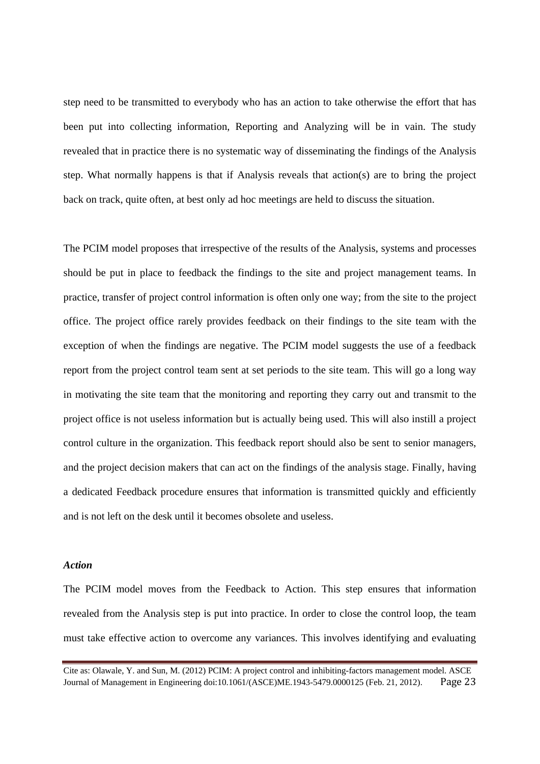step need to be transmitted to everybody who has an action to take otherwise the effort that has been put into collecting information, Reporting and Analyzing will be in vain. The study revealed that in practice there is no systematic way of disseminating the findings of the Analysis step. What normally happens is that if Analysis reveals that action(s) are to bring the project back on track, quite often, at best only ad hoc meetings are held to discuss the situation.

The PCIM model proposes that irrespective of the results of the Analysis, systems and processes should be put in place to feedback the findings to the site and project management teams. In practice, transfer of project control information is often only one way; from the site to the project office. The project office rarely provides feedback on their findings to the site team with the exception of when the findings are negative. The PCIM model suggests the use of a feedback report from the project control team sent at set periods to the site team. This will go a long way in motivating the site team that the monitoring and reporting they carry out and transmit to the project office is not useless information but is actually being used. This will also instill a project control culture in the organization. This feedback report should also be sent to senior managers, and the project decision makers that can act on the findings of the analysis stage. Finally, having a dedicated Feedback procedure ensures that information is transmitted quickly and efficiently and is not left on the desk until it becomes obsolete and useless.

### *Action*

The PCIM model moves from the Feedback to Action. This step ensures that information revealed from the Analysis step is put into practice. In order to close the control loop, the team must take effective action to overcome any variances. This involves identifying and evaluating

Cite as: Olawale, Y. and Sun, M. (2012) PCIM: A project control and inhibiting-factors management model. ASCE Journal of Management in Engineering doi:10.1061/(ASCE)ME.1943-5479.0000125 (Feb. 21, 2012). Page 23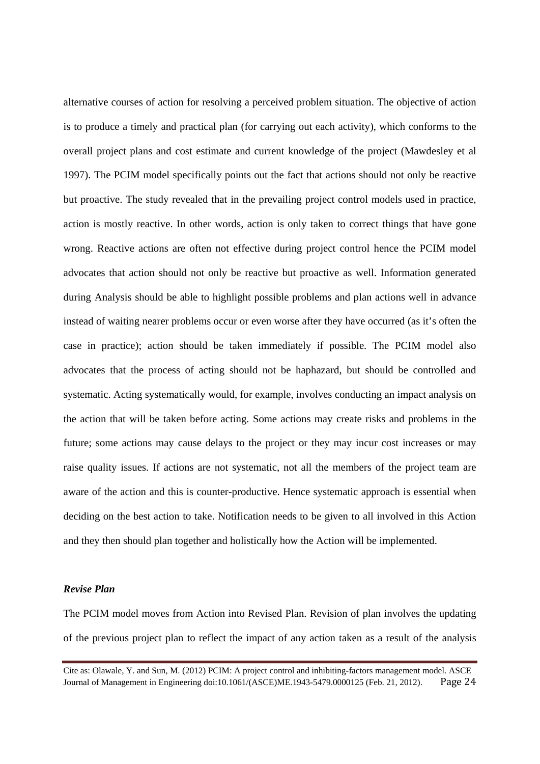alternative courses of action for resolving a perceived problem situation. The objective of action is to produce a timely and practical plan (for carrying out each activity), which conforms to the overall project plans and cost estimate and current knowledge of the project (Mawdesley et al 1997). The PCIM model specifically points out the fact that actions should not only be reactive but proactive. The study revealed that in the prevailing project control models used in practice, action is mostly reactive. In other words, action is only taken to correct things that have gone wrong. Reactive actions are often not effective during project control hence the PCIM model advocates that action should not only be reactive but proactive as well. Information generated during Analysis should be able to highlight possible problems and plan actions well in advance instead of waiting nearer problems occur or even worse after they have occurred (as it's often the case in practice); action should be taken immediately if possible. The PCIM model also advocates that the process of acting should not be haphazard, but should be controlled and systematic. Acting systematically would, for example, involves conducting an impact analysis on the action that will be taken before acting. Some actions may create risks and problems in the future; some actions may cause delays to the project or they may incur cost increases or may raise quality issues. If actions are not systematic, not all the members of the project team are aware of the action and this is counter-productive. Hence systematic approach is essential when deciding on the best action to take. Notification needs to be given to all involved in this Action and they then should plan together and holistically how the Action will be implemented.

## *Revise Plan*

The PCIM model moves from Action into Revised Plan. Revision of plan involves the updating of the previous project plan to reflect the impact of any action taken as a result of the analysis

Cite as: Olawale, Y. and Sun, M. (2012) PCIM: A project control and inhibiting-factors management model. ASCE Journal of Management in Engineering doi:10.1061/(ASCE)ME.1943-5479.0000125 (Feb. 21, 2012). Page 24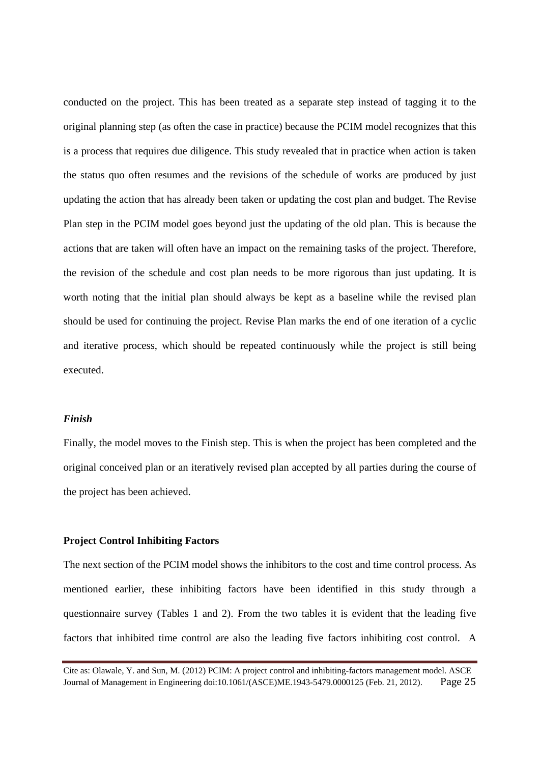conducted on the project. This has been treated as a separate step instead of tagging it to the original planning step (as often the case in practice) because the PCIM model recognizes that this is a process that requires due diligence. This study revealed that in practice when action is taken the status quo often resumes and the revisions of the schedule of works are produced by just updating the action that has already been taken or updating the cost plan and budget. The Revise Plan step in the PCIM model goes beyond just the updating of the old plan. This is because the actions that are taken will often have an impact on the remaining tasks of the project. Therefore, the revision of the schedule and cost plan needs to be more rigorous than just updating. It is worth noting that the initial plan should always be kept as a baseline while the revised plan should be used for continuing the project. Revise Plan marks the end of one iteration of a cyclic and iterative process, which should be repeated continuously while the project is still being executed.

## *Finish*

Finally, the model moves to the Finish step. This is when the project has been completed and the original conceived plan or an iteratively revised plan accepted by all parties during the course of the project has been achieved.

## **Project Control Inhibiting Factors**

The next section of the PCIM model shows the inhibitors to the cost and time control process. As mentioned earlier, these inhibiting factors have been identified in this study through a questionnaire survey (Tables 1 and 2). From the two tables it is evident that the leading five factors that inhibited time control are also the leading five factors inhibiting cost control. A

Cite as: Olawale, Y. and Sun, M. (2012) PCIM: A project control and inhibiting-factors management model. ASCE Journal of Management in Engineering doi:10.1061/(ASCE)ME.1943-5479.0000125 (Feb. 21, 2012). Page 25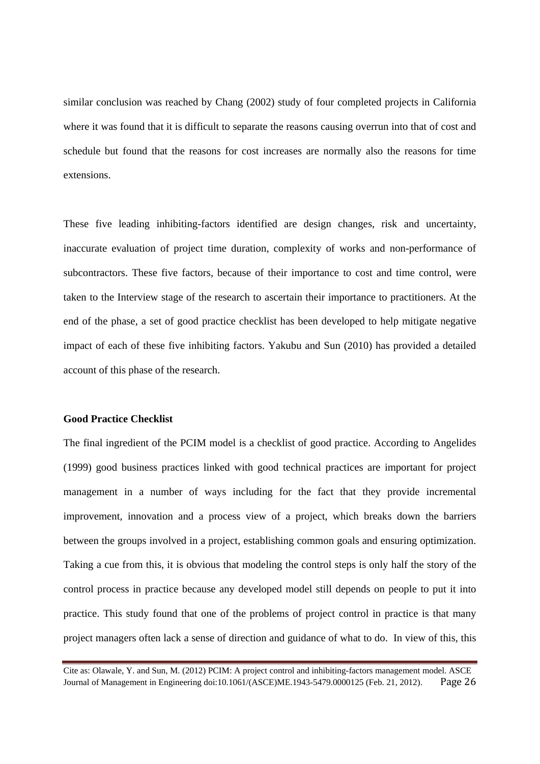similar conclusion was reached by Chang (2002) study of four completed projects in California where it was found that it is difficult to separate the reasons causing overrun into that of cost and schedule but found that the reasons for cost increases are normally also the reasons for time extensions.

These five leading inhibiting-factors identified are design changes, risk and uncertainty, inaccurate evaluation of project time duration, complexity of works and non-performance of subcontractors. These five factors, because of their importance to cost and time control, were taken to the Interview stage of the research to ascertain their importance to practitioners. At the end of the phase, a set of good practice checklist has been developed to help mitigate negative impact of each of these five inhibiting factors. Yakubu and Sun (2010) has provided a detailed account of this phase of the research.

### **Good Practice Checklist**

The final ingredient of the PCIM model is a checklist of good practice. According to Angelides (1999) good business practices linked with good technical practices are important for project management in a number of ways including for the fact that they provide incremental improvement, innovation and a process view of a project, which breaks down the barriers between the groups involved in a project, establishing common goals and ensuring optimization. Taking a cue from this, it is obvious that modeling the control steps is only half the story of the control process in practice because any developed model still depends on people to put it into practice. This study found that one of the problems of project control in practice is that many project managers often lack a sense of direction and guidance of what to do. In view of this, this

Cite as: Olawale, Y. and Sun, M. (2012) PCIM: A project control and inhibiting-factors management model. ASCE Journal of Management in Engineering doi:10.1061/(ASCE)ME.1943-5479.0000125 (Feb. 21, 2012). Page 26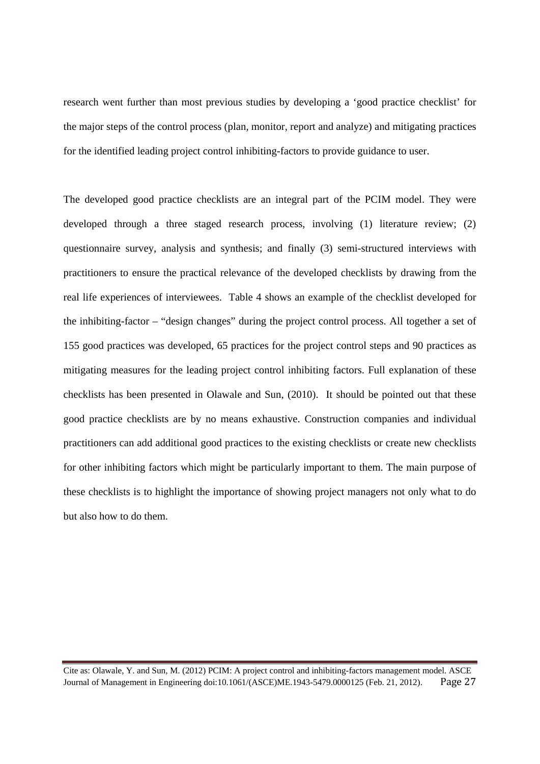research went further than most previous studies by developing a 'good practice checklist' for the major steps of the control process (plan, monitor, report and analyze) and mitigating practices for the identified leading project control inhibiting-factors to provide guidance to user.

The developed good practice checklists are an integral part of the PCIM model. They were developed through a three staged research process, involving (1) literature review; (2) questionnaire survey, analysis and synthesis; and finally (3) semi-structured interviews with practitioners to ensure the practical relevance of the developed checklists by drawing from the real life experiences of interviewees. Table 4 shows an example of the checklist developed for the inhibiting-factor – "design changes" during the project control process. All together a set of 155 good practices was developed, 65 practices for the project control steps and 90 practices as mitigating measures for the leading project control inhibiting factors. Full explanation of these checklists has been presented in Olawale and Sun, (2010). It should be pointed out that these good practice checklists are by no means exhaustive. Construction companies and individual practitioners can add additional good practices to the existing checklists or create new checklists for other inhibiting factors which might be particularly important to them. The main purpose of these checklists is to highlight the importance of showing project managers not only what to do but also how to do them.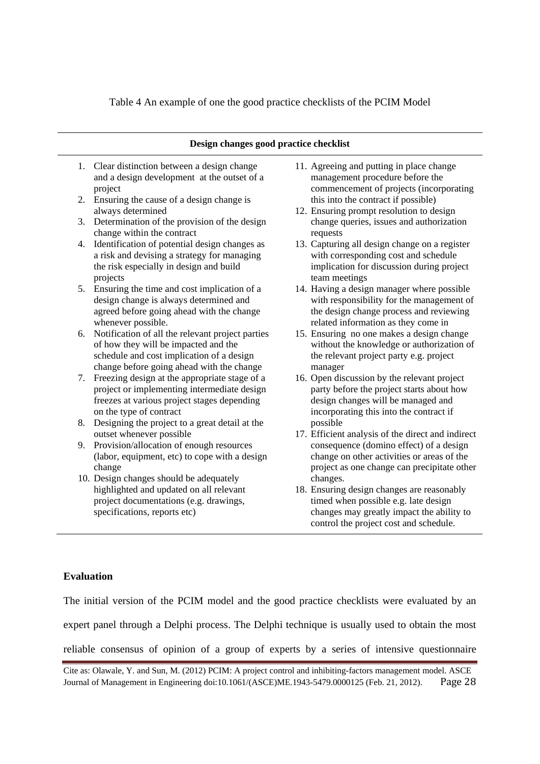Table 4 An example of one the good practice checklists of the PCIM Model

|  |  | Design changes good practice checklist |
|--|--|----------------------------------------|
|  |  |                                        |

- 1. Clear distinction between a design change and a design development at the outset of a project
- 2. Ensuring the cause of a design change is always determined
- 3. Determination of the provision of the design change within the contract
- 4. Identification of potential design changes as a risk and devising a strategy for managing the risk especially in design and build projects
- 5. Ensuring the time and cost implication of a design change is always determined and agreed before going ahead with the change whenever possible.
- 6. Notification of all the relevant project parties of how they will be impacted and the schedule and cost implication of a design change before going ahead with the change
- 7. Freezing design at the appropriate stage of a project or implementing intermediate design freezes at various project stages depending on the type of contract
- 8. Designing the project to a great detail at the outset whenever possible
- 9. Provision/allocation of enough resources (labor, equipment, etc) to cope with a design change
- 10. Design changes should be adequately highlighted and updated on all relevant project documentations (e.g. drawings, specifications, reports etc)
- 11. Agreeing and putting in place change management procedure before the commencement of projects (incorporating this into the contract if possible)
- 12. Ensuring prompt resolution to design change queries, issues and authorization requests
- 13. Capturing all design change on a register with corresponding cost and schedule implication for discussion during project team meetings
- 14. Having a design manager where possible with responsibility for the management of the design change process and reviewing related information as they come in
- 15. Ensuring no one makes a design change without the knowledge or authorization of the relevant project party e.g. project manager
- 16. Open discussion by the relevant project party before the project starts about how design changes will be managed and incorporating this into the contract if possible
- 17. Efficient analysis of the direct and indirect consequence (domino effect) of a design change on other activities or areas of the project as one change can precipitate other changes.
- 18. Ensuring design changes are reasonably timed when possible e.g. late design changes may greatly impact the ability to control the project cost and schedule.

## **Evaluation**

The initial version of the PCIM model and the good practice checklists were evaluated by an expert panel through a Delphi process. The Delphi technique is usually used to obtain the most reliable consensus of opinion of a group of experts by a series of intensive questionnaire

Cite as: Olawale, Y. and Sun, M. (2012) PCIM: A project control and inhibiting-factors management model. ASCE Journal of Management in Engineering doi:10.1061/(ASCE)ME.1943-5479.0000125 (Feb. 21, 2012). Page 28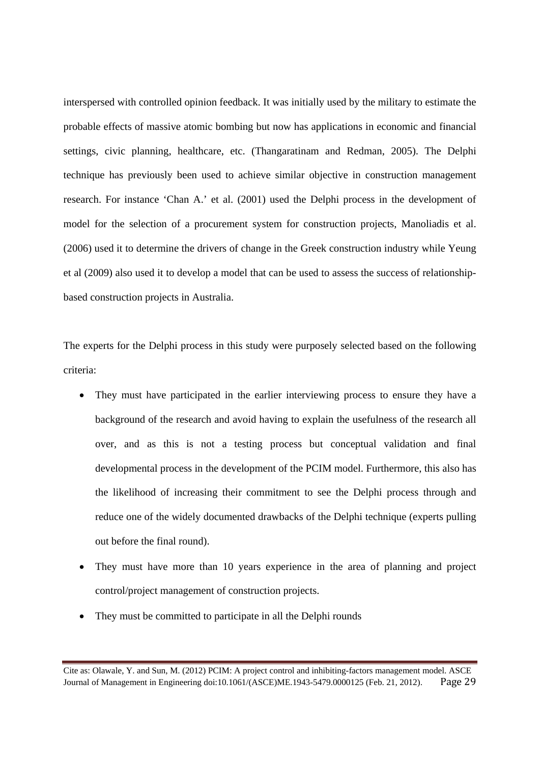interspersed with controlled opinion feedback. It was initially used by the military to estimate the probable effects of massive atomic bombing but now has applications in economic and financial settings, civic planning, healthcare, etc. (Thangaratinam and Redman, 2005). The Delphi technique has previously been used to achieve similar objective in construction management research. For instance 'Chan A.' et al. (2001) used the Delphi process in the development of model for the selection of a procurement system for construction projects, Manoliadis et al. (2006) used it to determine the drivers of change in the Greek construction industry while Yeung et al (2009) also used it to develop a model that can be used to assess the success of relationshipbased construction projects in Australia.

The experts for the Delphi process in this study were purposely selected based on the following criteria:

- They must have participated in the earlier interviewing process to ensure they have a background of the research and avoid having to explain the usefulness of the research all over, and as this is not a testing process but conceptual validation and final developmental process in the development of the PCIM model. Furthermore, this also has the likelihood of increasing their commitment to see the Delphi process through and reduce one of the widely documented drawbacks of the Delphi technique (experts pulling out before the final round).
- They must have more than 10 years experience in the area of planning and project control/project management of construction projects.
- They must be committed to participate in all the Delphi rounds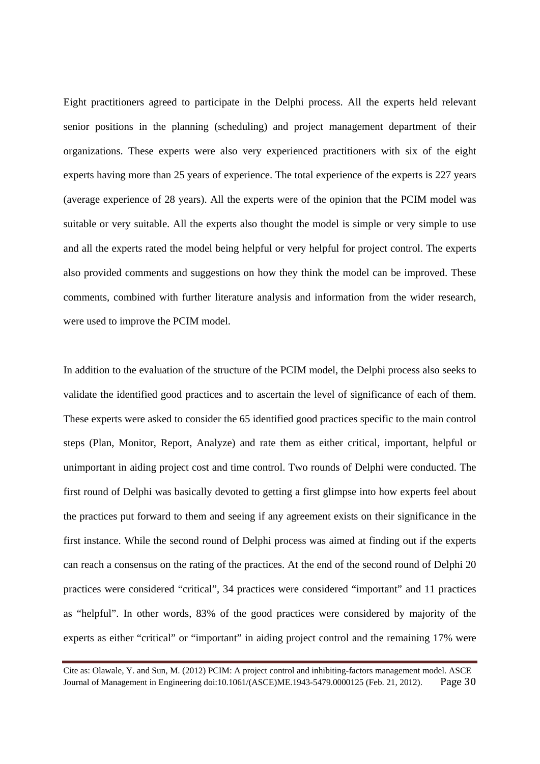Eight practitioners agreed to participate in the Delphi process. All the experts held relevant senior positions in the planning (scheduling) and project management department of their organizations. These experts were also very experienced practitioners with six of the eight experts having more than 25 years of experience. The total experience of the experts is 227 years (average experience of 28 years). All the experts were of the opinion that the PCIM model was suitable or very suitable. All the experts also thought the model is simple or very simple to use and all the experts rated the model being helpful or very helpful for project control. The experts also provided comments and suggestions on how they think the model can be improved. These comments, combined with further literature analysis and information from the wider research, were used to improve the PCIM model.

In addition to the evaluation of the structure of the PCIM model, the Delphi process also seeks to validate the identified good practices and to ascertain the level of significance of each of them. These experts were asked to consider the 65 identified good practices specific to the main control steps (Plan, Monitor, Report, Analyze) and rate them as either critical, important, helpful or unimportant in aiding project cost and time control. Two rounds of Delphi were conducted. The first round of Delphi was basically devoted to getting a first glimpse into how experts feel about the practices put forward to them and seeing if any agreement exists on their significance in the first instance. While the second round of Delphi process was aimed at finding out if the experts can reach a consensus on the rating of the practices. At the end of the second round of Delphi 20 practices were considered "critical", 34 practices were considered "important" and 11 practices as "helpful". In other words, 83% of the good practices were considered by majority of the experts as either "critical" or "important" in aiding project control and the remaining 17% were

Cite as: Olawale, Y. and Sun, M. (2012) PCIM: A project control and inhibiting-factors management model. ASCE Journal of Management in Engineering doi:10.1061/(ASCE)ME.1943-5479.0000125 (Feb. 21, 2012). Page 30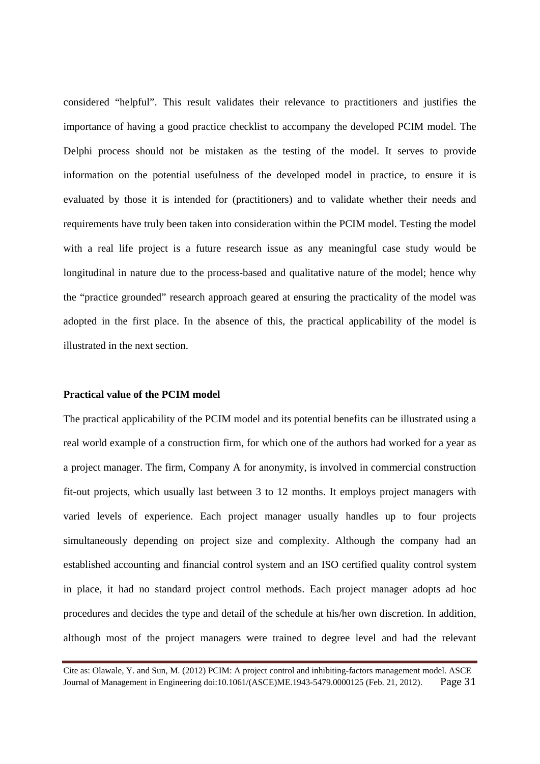considered "helpful". This result validates their relevance to practitioners and justifies the importance of having a good practice checklist to accompany the developed PCIM model. The Delphi process should not be mistaken as the testing of the model. It serves to provide information on the potential usefulness of the developed model in practice, to ensure it is evaluated by those it is intended for (practitioners) and to validate whether their needs and requirements have truly been taken into consideration within the PCIM model. Testing the model with a real life project is a future research issue as any meaningful case study would be longitudinal in nature due to the process-based and qualitative nature of the model; hence why the "practice grounded" research approach geared at ensuring the practicality of the model was adopted in the first place. In the absence of this, the practical applicability of the model is illustrated in the next section.

### **Practical value of the PCIM model**

The practical applicability of the PCIM model and its potential benefits can be illustrated using a real world example of a construction firm, for which one of the authors had worked for a year as a project manager. The firm, Company A for anonymity, is involved in commercial construction fit-out projects, which usually last between 3 to 12 months. It employs project managers with varied levels of experience. Each project manager usually handles up to four projects simultaneously depending on project size and complexity. Although the company had an established accounting and financial control system and an ISO certified quality control system in place, it had no standard project control methods. Each project manager adopts ad hoc procedures and decides the type and detail of the schedule at his/her own discretion. In addition, although most of the project managers were trained to degree level and had the relevant

Cite as: Olawale, Y. and Sun, M. (2012) PCIM: A project control and inhibiting-factors management model. ASCE Journal of Management in Engineering doi:10.1061/(ASCE)ME.1943-5479.0000125 (Feb. 21, 2012). Page 31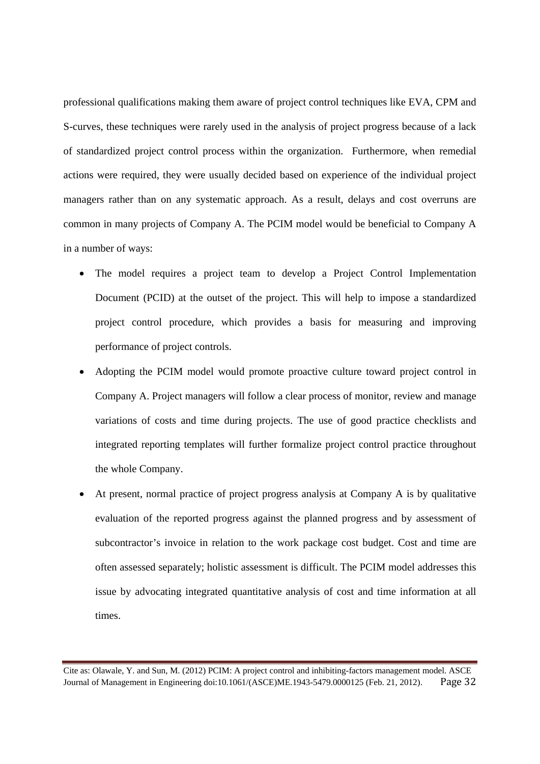professional qualifications making them aware of project control techniques like EVA, CPM and S-curves, these techniques were rarely used in the analysis of project progress because of a lack of standardized project control process within the organization. Furthermore, when remedial actions were required, they were usually decided based on experience of the individual project managers rather than on any systematic approach. As a result, delays and cost overruns are common in many projects of Company A. The PCIM model would be beneficial to Company A in a number of ways:

- The model requires a project team to develop a Project Control Implementation Document (PCID) at the outset of the project. This will help to impose a standardized project control procedure, which provides a basis for measuring and improving performance of project controls.
- Adopting the PCIM model would promote proactive culture toward project control in Company A. Project managers will follow a clear process of monitor, review and manage variations of costs and time during projects. The use of good practice checklists and integrated reporting templates will further formalize project control practice throughout the whole Company.
- At present, normal practice of project progress analysis at Company A is by qualitative evaluation of the reported progress against the planned progress and by assessment of subcontractor's invoice in relation to the work package cost budget. Cost and time are often assessed separately; holistic assessment is difficult. The PCIM model addresses this issue by advocating integrated quantitative analysis of cost and time information at all times.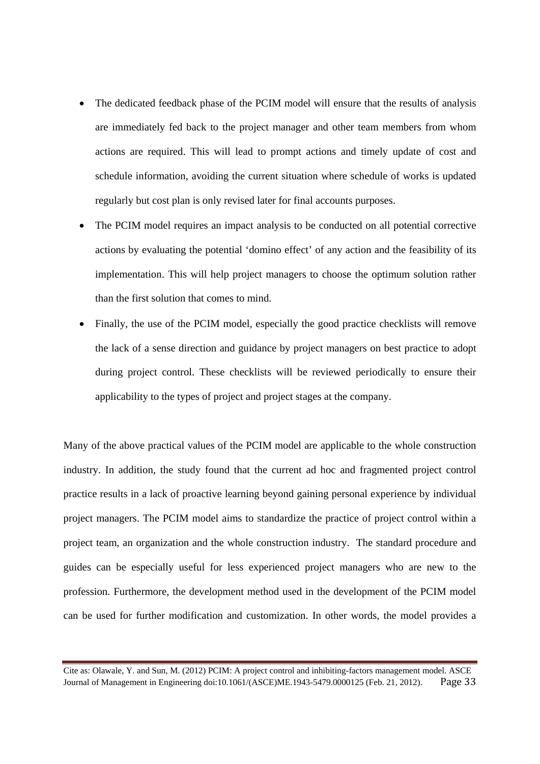- The dedicated feedback phase of the PCIM model will ensure that the results of analysis are immediately fed back to the project manager and other team members from whom actions are required. This will lead to prompt actions and timely update of cost and schedule information, avoiding the current situation where schedule of works is updated regularly but cost plan is only revised later for final accounts purposes.
- The PCIM model requires an impact analysis to be conducted on all potential corrective actions by evaluating the potential 'domino effect' of any action and the feasibility of its implementation. This will help project managers to choose the optimum solution rather than the first solution that comes to mind.
- Finally, the use of the PCIM model, especially the good practice checklists will remove the lack of a sense direction and guidance by project managers on best practice to adopt during project control. These checklists will be reviewed periodically to ensure their applicability to the types of project and project stages at the company.

Many of the above practical values of the PCIM model are applicable to the whole construction industry. In addition, the study found that the current ad hoc and fragmented project control practice results in a lack of proactive learning beyond gaining personal experience by individual project managers. The PCIM model aims to standardize the practice of project control within a project team, an organization and the whole construction industry. The standard procedure and guides can be especially useful for less experienced project managers who are new to the profession. Furthermore, the development method used in the development of the PCIM model can be used for further modification and customization. In other words, the model provides a

Cite as: Olawale, Y. and Sun, M. (2012) PCIM: A project control and inhibiting-factors management model. ASCE Journal of Management in Engineering doi:10.1061/(ASCE)ME.1943-5479.0000125 (Feb. 21, 2012). Page 33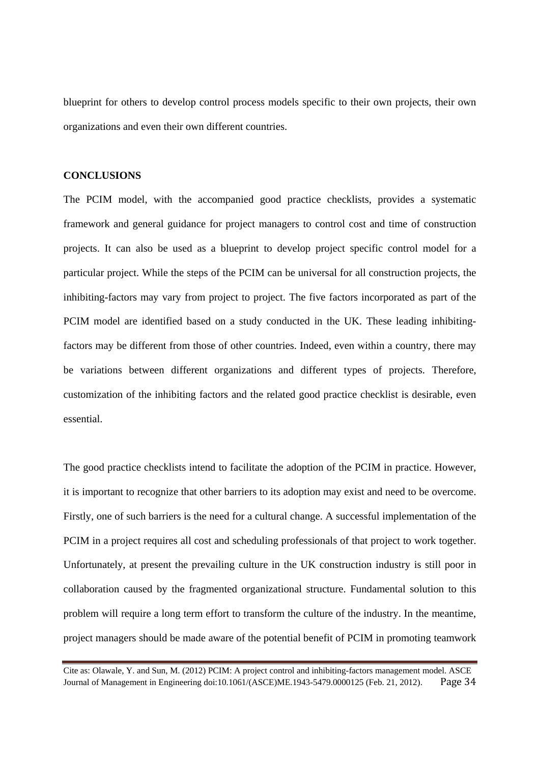blueprint for others to develop control process models specific to their own projects, their own organizations and even their own different countries.

## **CONCLUSIONS**

The PCIM model, with the accompanied good practice checklists, provides a systematic framework and general guidance for project managers to control cost and time of construction projects. It can also be used as a blueprint to develop project specific control model for a particular project. While the steps of the PCIM can be universal for all construction projects, the inhibiting-factors may vary from project to project. The five factors incorporated as part of the PCIM model are identified based on a study conducted in the UK. These leading inhibitingfactors may be different from those of other countries. Indeed, even within a country, there may be variations between different organizations and different types of projects. Therefore, customization of the inhibiting factors and the related good practice checklist is desirable, even essential.

The good practice checklists intend to facilitate the adoption of the PCIM in practice. However, it is important to recognize that other barriers to its adoption may exist and need to be overcome. Firstly, one of such barriers is the need for a cultural change. A successful implementation of the PCIM in a project requires all cost and scheduling professionals of that project to work together. Unfortunately, at present the prevailing culture in the UK construction industry is still poor in collaboration caused by the fragmented organizational structure. Fundamental solution to this problem will require a long term effort to transform the culture of the industry. In the meantime, project managers should be made aware of the potential benefit of PCIM in promoting teamwork

Cite as: Olawale, Y. and Sun, M. (2012) PCIM: A project control and inhibiting-factors management model. ASCE Journal of Management in Engineering doi:10.1061/(ASCE)ME.1943-5479.0000125 (Feb. 21, 2012). Page 34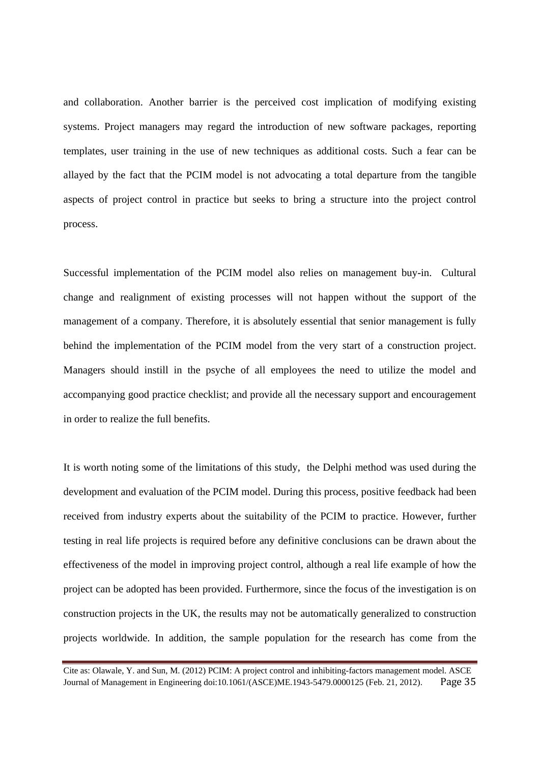and collaboration. Another barrier is the perceived cost implication of modifying existing systems. Project managers may regard the introduction of new software packages, reporting templates, user training in the use of new techniques as additional costs. Such a fear can be allayed by the fact that the PCIM model is not advocating a total departure from the tangible aspects of project control in practice but seeks to bring a structure into the project control process.

Successful implementation of the PCIM model also relies on management buy-in. Cultural change and realignment of existing processes will not happen without the support of the management of a company. Therefore, it is absolutely essential that senior management is fully behind the implementation of the PCIM model from the very start of a construction project. Managers should instill in the psyche of all employees the need to utilize the model and accompanying good practice checklist; and provide all the necessary support and encouragement in order to realize the full benefits.

It is worth noting some of the limitations of this study, the Delphi method was used during the development and evaluation of the PCIM model. During this process, positive feedback had been received from industry experts about the suitability of the PCIM to practice. However, further testing in real life projects is required before any definitive conclusions can be drawn about the effectiveness of the model in improving project control, although a real life example of how the project can be adopted has been provided. Furthermore, since the focus of the investigation is on construction projects in the UK, the results may not be automatically generalized to construction projects worldwide. In addition, the sample population for the research has come from the

Cite as: Olawale, Y. and Sun, M. (2012) PCIM: A project control and inhibiting-factors management model. ASCE Journal of Management in Engineering doi:10.1061/(ASCE)ME.1943-5479.0000125 (Feb. 21, 2012). Page 35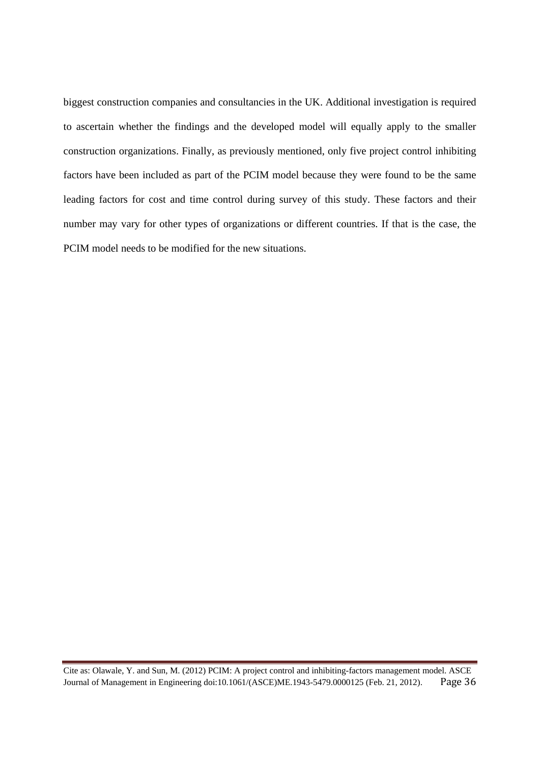biggest construction companies and consultancies in the UK. Additional investigation is required to ascertain whether the findings and the developed model will equally apply to the smaller construction organizations. Finally, as previously mentioned, only five project control inhibiting factors have been included as part of the PCIM model because they were found to be the same leading factors for cost and time control during survey of this study. These factors and their number may vary for other types of organizations or different countries. If that is the case, the PCIM model needs to be modified for the new situations.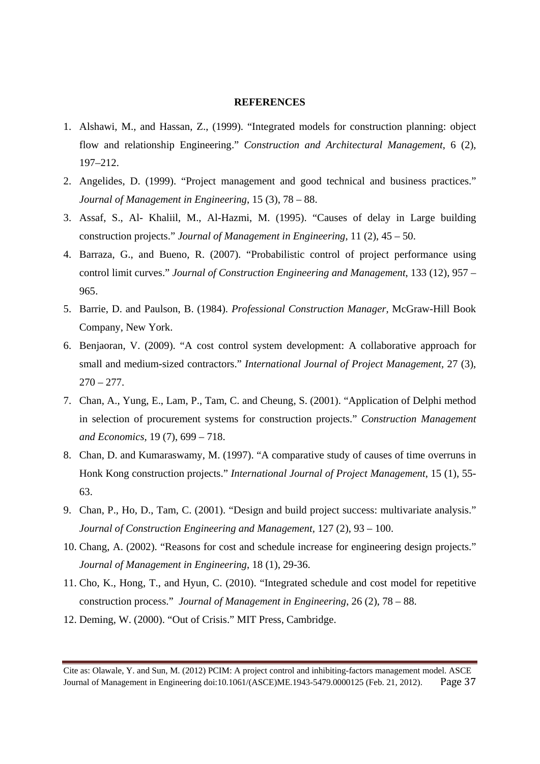#### **REFERENCES**

- 1. Alshawi, M., and Hassan, Z., (1999). "Integrated models for construction planning: object flow and relationship Engineering." *Construction and Architectural Management*, 6 (2), 197–212.
- 2. Angelides, D. (1999). "Project management and good technical and business practices." *Journal of Management in Engineering*, 15 (3), 78 – 88.
- 3. Assaf, S., Al- Khaliil, M., Al-Hazmi, M. (1995). "Causes of delay in Large building construction projects." *Journal of Management in Engineering*, 11 (2), 45 – 50.
- 4. Barraza, G., and Bueno, R. (2007). "Probabilistic control of project performance using control limit curves." *Journal of Construction Engineering and Management*, 133 (12), 957 – 965.
- 5. Barrie, D. and Paulson, B. (1984). *Professional Construction Manager,* McGraw-Hill Book Company, New York.
- 6. Benjaoran, V. (2009). "A cost control system development: A collaborative approach for small and medium-sized contractors." *International Journal of Project Management,* 27 (3),  $270 - 277.$
- 7. Chan, A., Yung, E., Lam, P., Tam, C. and Cheung, S. (2001). "Application of Delphi method in selection of procurement systems for construction projects." *Construction Management and Economics,* 19 (7), 699 – 718.
- 8. Chan, D. and Kumaraswamy, M. (1997). "A comparative study of causes of time overruns in Honk Kong construction projects." *International Journal of Project Management*, 15 (1), 55- 63.
- 9. Chan, P., Ho, D., Tam, C. (2001). "Design and build project success: multivariate analysis." *Journal of Construction Engineering and Management,* 127 (2), 93 – 100.
- 10. Chang, A. (2002). "Reasons for cost and schedule increase for engineering design projects." *Journal of Management in Engineering*, 18 (1), 29-36.
- 11. Cho, K., Hong, T., and Hyun, C. (2010). "Integrated schedule and cost model for repetitive construction process." *Journal of Management in Engineering*, 26 (2), 78 – 88.
- 12. Deming, W. (2000). "Out of Crisis." MIT Press, Cambridge.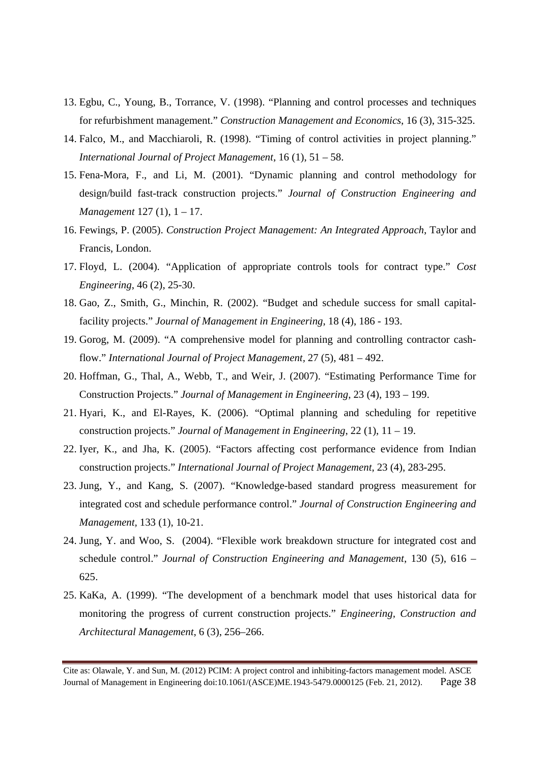- 13. Egbu, C., Young, B., Torrance, V. (1998). "Planning and control processes and techniques for refurbishment management." *Construction Management and Economics*, 16 (3), 315-325.
- 14. Falco, M., and Macchiaroli, R. (1998). "Timing of control activities in project planning." *International Journal of Project Management*, 16 (1), 51 – 58.
- 15. Fena-Mora, F., and Li, M. (2001). "Dynamic planning and control methodology for design/build fast-track construction projects." *Journal of Construction Engineering and Management* 127 (1), 1 – 17.
- 16. Fewings, P. (2005). *Construction Project Management: An Integrated Approach*, Taylor and Francis, London.
- 17. Floyd, L. (2004). "Application of appropriate controls tools for contract type." *Cost Engineering*, 46 (2), 25-30.
- 18. Gao, Z., Smith, G., Minchin, R. (2002). "Budget and schedule success for small capitalfacility projects." *Journal of Management in Engineering*, 18 (4), 186 - 193.
- 19. Gorog, M. (2009). "A comprehensive model for planning and controlling contractor cashflow." *International Journal of Project Management,* 27 (5), 481 – 492.
- 20. Hoffman, G., Thal, A., Webb, T., and Weir, J. (2007). "Estimating Performance Time for Construction Projects." *Journal of Management in Engineering*, 23 (4), 193 – 199.
- 21. Hyari, K., and El-Rayes, K. (2006). "Optimal planning and scheduling for repetitive construction projects." *Journal of Management in Engineering*, 22 (1), 11 – 19.
- 22. Iyer, K., and Jha, K. (2005). "Factors affecting cost performance evidence from Indian construction projects." *International Journal of Project Management*, 23 (4), 283-295.
- 23. Jung, Y., and Kang, S. (2007). "Knowledge-based standard progress measurement for integrated cost and schedule performance control." *Journal of Construction Engineering and Management,* 133 (1), 10-21.
- 24. Jung, Y. and Woo, S. (2004). "Flexible work breakdown structure for integrated cost and schedule control." *Journal of Construction Engineering and Management*, 130 (5), 616 – 625.
- 25. KaKa, A. (1999). "The development of a benchmark model that uses historical data for monitoring the progress of current construction projects." *Engineering, Construction and Architectural Management*, 6 (3), 256–266.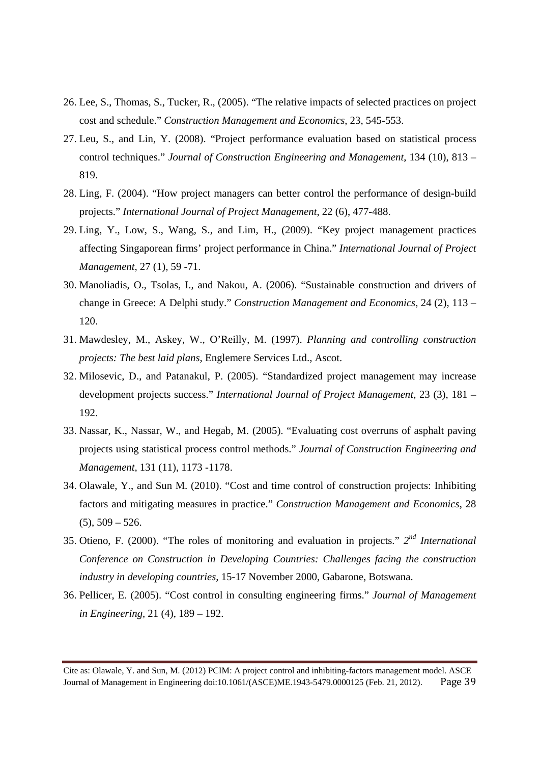- 26. Lee, S., Thomas, S., Tucker, R., (2005). "The relative impacts of selected practices on project cost and schedule." *Construction Management and Economics*, 23, 545-553.
- 27. Leu, S., and Lin, Y. (2008). "Project performance evaluation based on statistical process control techniques." *Journal of Construction Engineering and Management*, 134 (10), 813 – 819.
- 28. Ling, F. (2004). "How project managers can better control the performance of design-build projects." *International Journal of Project Management*, 22 (6), 477-488.
- 29. Ling, Y., Low, S., Wang, S., and Lim, H., (2009). "Key project management practices affecting Singaporean firms' project performance in China." *International Journal of Project Management*, 27 (1), 59 -71.
- 30. Manoliadis, O., Tsolas, I., and Nakou, A. (2006). "Sustainable construction and drivers of change in Greece: A Delphi study." *Construction Management and Economics*, 24 (2), 113 – 120.
- 31. Mawdesley, M., Askey, W., O'Reilly, M. (1997). *Planning and controlling construction projects: The best laid plans*, Englemere Services Ltd., Ascot.
- 32. Milosevic, D., and Patanakul, P. (2005). "Standardized project management may increase development projects success." *International Journal of Project Management*, 23 (3), 181 – 192.
- 33. Nassar, K., Nassar, W., and Hegab, M. (2005). "Evaluating cost overruns of asphalt paving projects using statistical process control methods." *Journal of Construction Engineering and Management,* 131 (11), 1173 -1178.
- 34. Olawale, Y., and Sun M. (2010). "Cost and time control of construction projects: Inhibiting factors and mitigating measures in practice." *Construction Management and Economics*, 28  $(5)$ ,  $509 - 526$ .
- 35. Otieno, F. (2000). "The roles of monitoring and evaluation in projects." *2nd International Conference on Construction in Developing Countries: Challenges facing the construction industry in developing countries,* 15-17 November 2000, Gabarone, Botswana.
- 36. Pellicer, E. (2005). "Cost control in consulting engineering firms." *Journal of Management in Engineering*, 21 (4), 189 – 192.

Cite as: Olawale, Y. and Sun, M. (2012) PCIM: A project control and inhibiting-factors management model. ASCE Journal of Management in Engineering doi:10.1061/(ASCE)ME.1943-5479.0000125 (Feb. 21, 2012). Page 39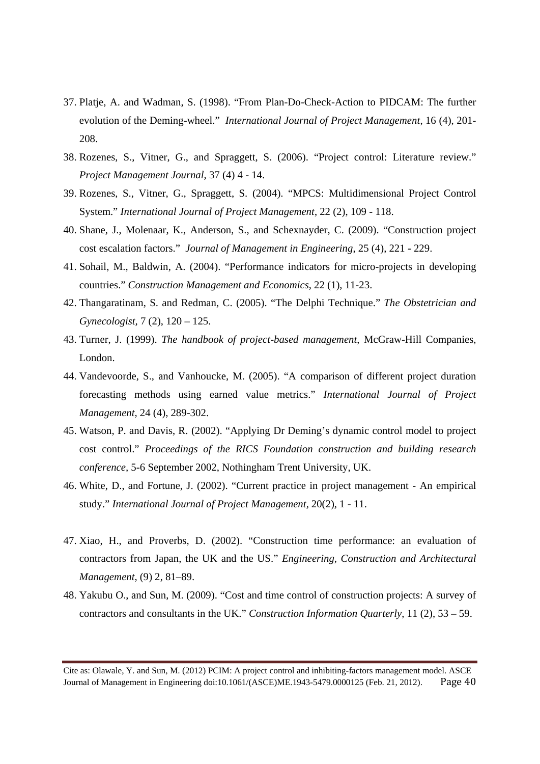- 37. Platje, A. and Wadman, S. (1998). "From Plan-Do-Check-Action to PIDCAM: The further evolution of the Deming-wheel." *International Journal of Project Management*, 16 (4), 201- 208.
- 38. Rozenes, S., Vitner, G., and Spraggett, S. (2006). "Project control: Literature review." *Project Management Journal*, 37 (4) 4 - 14.
- 39. Rozenes, S., Vitner, G., Spraggett, S. (2004). "MPCS: Multidimensional Project Control System." *International Journal of Project Management*, 22 (2), 109 - 118.
- 40. Shane, J., Molenaar, K., Anderson, S., and Schexnayder, C. (2009). "Construction project cost escalation factors." *Journal of Management in Engineering*, 25 (4), 221 - 229.
- 41. Sohail, M., Baldwin, A. (2004). "Performance indicators for micro-projects in developing countries." *Construction Management and Economics*, 22 (1), 11-23.
- 42. Thangaratinam, S. and Redman, C. (2005). "The Delphi Technique." *The Obstetrician and Gynecologist,* 7 (2), 120 – 125.
- 43. Turner, J. (1999). *The handbook of project-based management*, McGraw-Hill Companies, London.
- 44. Vandevoorde, S., and Vanhoucke, M. (2005). "A comparison of different project duration forecasting methods using earned value metrics." *International Journal of Project Management,* 24 (4), 289-302.
- 45. Watson, P. and Davis, R. (2002). "Applying Dr Deming's dynamic control model to project cost control." *Proceedings of the RICS Foundation construction and building research conference,* 5-6 September 2002, Nothingham Trent University, UK.
- 46. White, D., and Fortune, J. (2002). "Current practice in project management An empirical study." *International Journal of Project Management,* 20(2), 1 - 11.
- 47. Xiao, H., and Proverbs, D. (2002). "Construction time performance: an evaluation of contractors from Japan, the UK and the US." *Engineering, Construction and Architectural Management*, (9) 2, 81–89.
- 48. Yakubu O., and Sun, M. (2009). "Cost and time control of construction projects: A survey of contractors and consultants in the UK." *Construction Information Quarterly*, 11 (2), 53 – 59.

Cite as: Olawale, Y. and Sun, M. (2012) PCIM: A project control and inhibiting-factors management model. ASCE Journal of Management in Engineering doi:10.1061/(ASCE)ME.1943-5479.0000125 (Feb. 21, 2012). Page 40